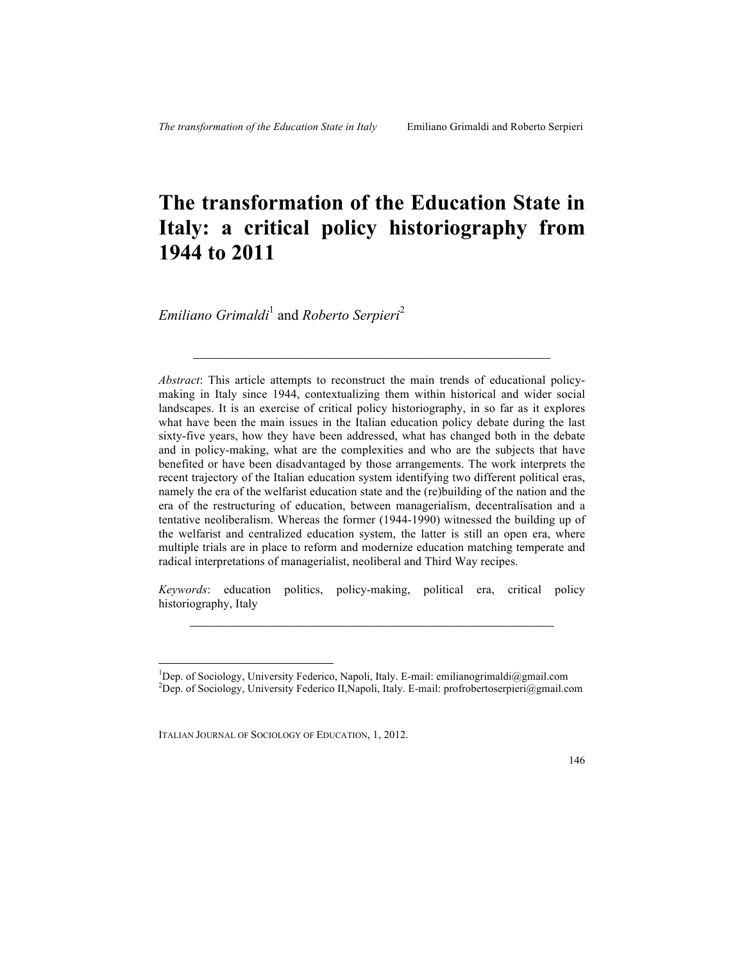# **The transformation of the Education State in Italy: a critical policy historiography from 1944 to 2011**

*Emiliano Grimaldi*<sup>1</sup> and *Roberto Serpieri*<sup>2</sup>

*Abstract*: This article attempts to reconstruct the main trends of educational policymaking in Italy since 1944, contextualizing them within historical and wider social landscapes. It is an exercise of critical policy historiography, in so far as it explores what have been the main issues in the Italian education policy debate during the last sixty-five years, how they have been addressed, what has changed both in the debate and in policy-making, what are the complexities and who are the subjects that have benefited or have been disadvantaged by those arrangements. The work interprets the recent trajectory of the Italian education system identifying two different political eras, namely the era of the welfarist education state and the (re)building of the nation and the era of the restructuring of education, between managerialism, decentralisation and a tentative neoliberalism. Whereas the former (1944-1990) witnessed the building up of the welfarist and centralized education system, the latter is still an open era, where multiple trials are in place to reform and modernize education matching temperate and radical interpretations of managerialist, neoliberal and Third Way recipes.

 $\mathcal{L}_\text{max}$  , and the set of the set of the set of the set of the set of the set of the set of the set of the set of the set of the set of the set of the set of the set of the set of the set of the set of the set of the

*Keywords*: education politics, policy-making, political era, critical policy historiography, Italy  $\mathcal{L}_\mathcal{L}$  , and the set of the set of the set of the set of the set of the set of the set of the set of the set of the set of the set of the set of the set of the set of the set of the set of the set of the set of th



 $\frac{1}{1}$ <sup>1</sup>Dep. of Sociology, University Federico, Napoli, Italy. E-mail: emilianogrimaldi@gmail.com <sup>2</sup>Dep. of Sociology, University Federico II, Napoli, Italy. E-mail: profrobertoserpieri@gmail.com

ITALIAN JOURNAL OF SOCIOLOGY OF EDUCATION, 1, 2012.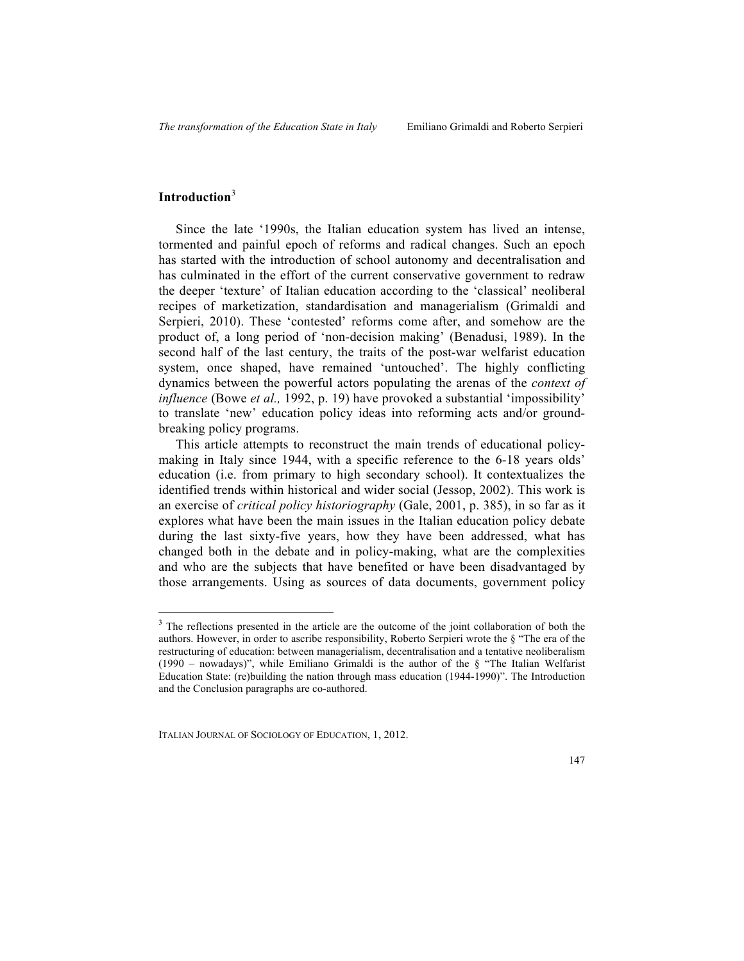# **Introduction**<sup>3</sup>

l

Since the late '1990s, the Italian education system has lived an intense, tormented and painful epoch of reforms and radical changes. Such an epoch has started with the introduction of school autonomy and decentralisation and has culminated in the effort of the current conservative government to redraw the deeper 'texture' of Italian education according to the 'classical' neoliberal recipes of marketization, standardisation and managerialism (Grimaldi and Serpieri, 2010). These 'contested' reforms come after, and somehow are the product of, a long period of 'non-decision making' (Benadusi, 1989). In the second half of the last century, the traits of the post-war welfarist education system, once shaped, have remained 'untouched'. The highly conflicting dynamics between the powerful actors populating the arenas of the *context of influence* (Bowe *et al.,* 1992, p. 19) have provoked a substantial 'impossibility' to translate 'new' education policy ideas into reforming acts and/or groundbreaking policy programs.

This article attempts to reconstruct the main trends of educational policymaking in Italy since 1944, with a specific reference to the 6-18 years olds' education (i.e. from primary to high secondary school). It contextualizes the identified trends within historical and wider social (Jessop, 2002). This work is an exercise of *critical policy historiography* (Gale, 2001, p. 385), in so far as it explores what have been the main issues in the Italian education policy debate during the last sixty-five years, how they have been addressed, what has changed both in the debate and in policy-making, what are the complexities and who are the subjects that have benefited or have been disadvantaged by those arrangements. Using as sources of data documents, government policy

<sup>&</sup>lt;sup>3</sup> The reflections presented in the article are the outcome of the joint collaboration of both the authors. However, in order to ascribe responsibility, Roberto Serpieri wrote the § "The era of the restructuring of education: between managerialism, decentralisation and a tentative neoliberalism  $(1990 -$  nowadays)", while Emiliano Grimaldi is the author of the  $\delta$  "The Italian Welfarist Education State: (re)building the nation through mass education (1944-1990)". The Introduction and the Conclusion paragraphs are co-authored.

ITALIAN JOURNAL OF SOCIOLOGY OF EDUCATION, 1, 2012.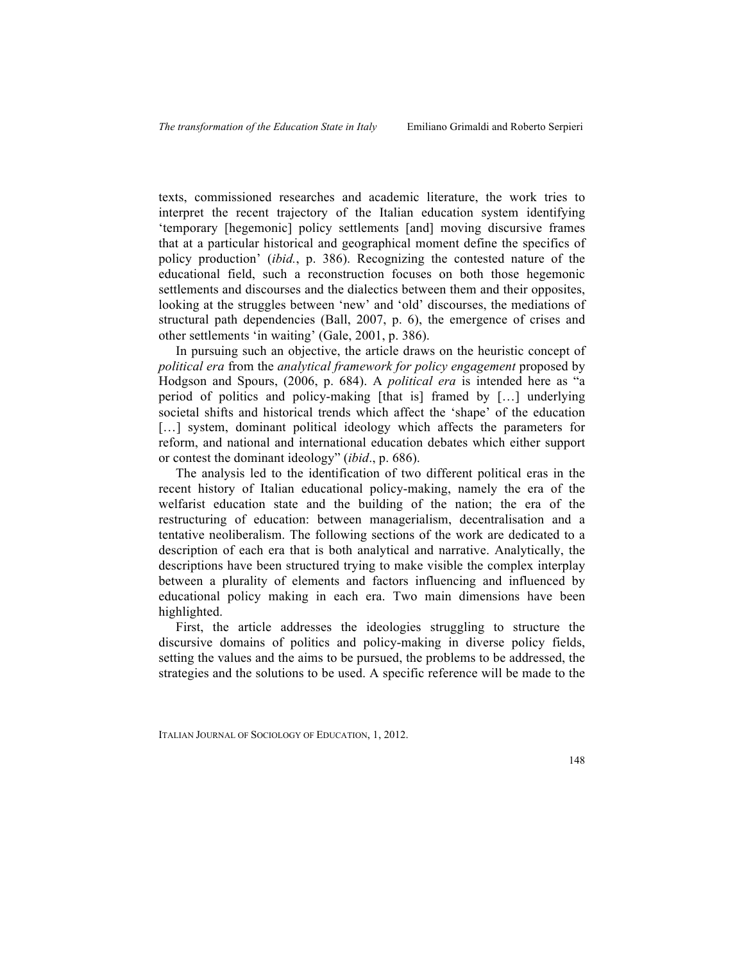texts, commissioned researches and academic literature, the work tries to interpret the recent trajectory of the Italian education system identifying 'temporary [hegemonic] policy settlements [and] moving discursive frames that at a particular historical and geographical moment define the specifics of policy production' (*ibid.*, p. 386). Recognizing the contested nature of the educational field, such a reconstruction focuses on both those hegemonic settlements and discourses and the dialectics between them and their opposites, looking at the struggles between 'new' and 'old' discourses, the mediations of structural path dependencies (Ball, 2007, p. 6), the emergence of crises and other settlements 'in waiting' (Gale, 2001, p. 386).

In pursuing such an objective, the article draws on the heuristic concept of *political era* from the *analytical framework for policy engagement* proposed by Hodgson and Spours, (2006, p. 684). A *political era* is intended here as "a period of politics and policy-making [that is] framed by […] underlying societal shifts and historical trends which affect the 'shape' of the education [...] system, dominant political ideology which affects the parameters for reform, and national and international education debates which either support or contest the dominant ideology" (*ibid*., p. 686).

The analysis led to the identification of two different political eras in the recent history of Italian educational policy-making, namely the era of the welfarist education state and the building of the nation; the era of the restructuring of education: between managerialism, decentralisation and a tentative neoliberalism. The following sections of the work are dedicated to a description of each era that is both analytical and narrative. Analytically, the descriptions have been structured trying to make visible the complex interplay between a plurality of elements and factors influencing and influenced by educational policy making in each era. Two main dimensions have been highlighted.

First, the article addresses the ideologies struggling to structure the discursive domains of politics and policy-making in diverse policy fields, setting the values and the aims to be pursued, the problems to be addressed, the strategies and the solutions to be used. A specific reference will be made to the

ITALIAN JOURNAL OF SOCIOLOGY OF EDUCATION, 1, 2012.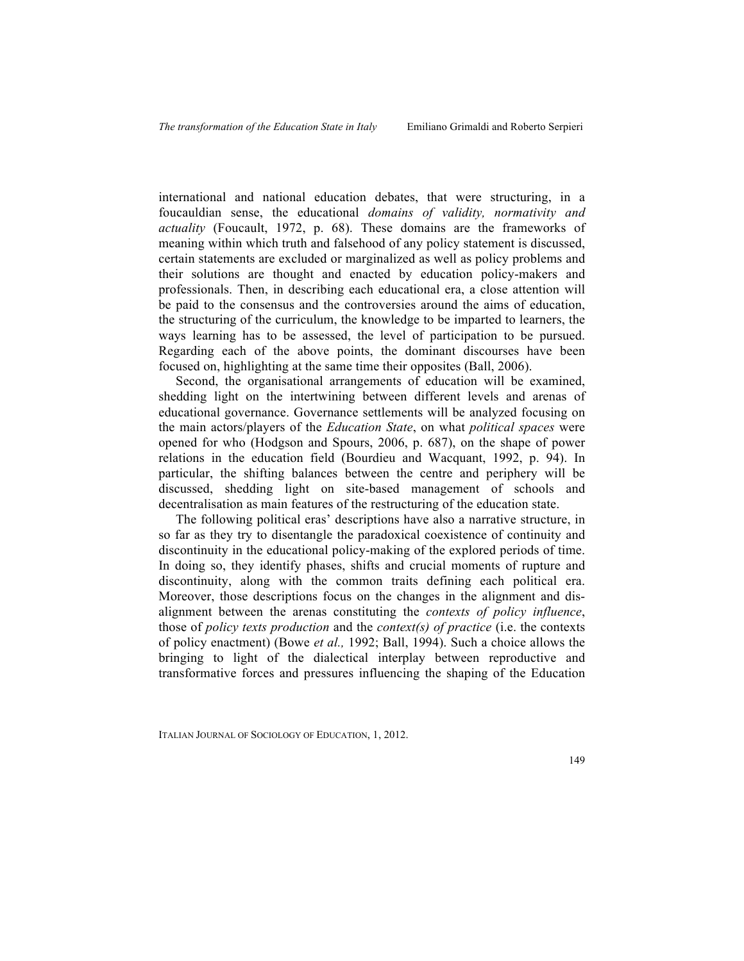international and national education debates, that were structuring, in a foucauldian sense, the educational *domains of validity, normativity and actuality* (Foucault, 1972, p. 68). These domains are the frameworks of meaning within which truth and falsehood of any policy statement is discussed, certain statements are excluded or marginalized as well as policy problems and their solutions are thought and enacted by education policy-makers and professionals. Then, in describing each educational era, a close attention will be paid to the consensus and the controversies around the aims of education, the structuring of the curriculum, the knowledge to be imparted to learners, the ways learning has to be assessed, the level of participation to be pursued. Regarding each of the above points, the dominant discourses have been focused on, highlighting at the same time their opposites (Ball, 2006).

Second, the organisational arrangements of education will be examined, shedding light on the intertwining between different levels and arenas of educational governance. Governance settlements will be analyzed focusing on the main actors/players of the *Education State*, on what *political spaces* were opened for who (Hodgson and Spours, 2006, p. 687), on the shape of power relations in the education field (Bourdieu and Wacquant, 1992, p. 94). In particular, the shifting balances between the centre and periphery will be discussed, shedding light on site-based management of schools and decentralisation as main features of the restructuring of the education state.

The following political eras' descriptions have also a narrative structure, in so far as they try to disentangle the paradoxical coexistence of continuity and discontinuity in the educational policy-making of the explored periods of time. In doing so, they identify phases, shifts and crucial moments of rupture and discontinuity, along with the common traits defining each political era. Moreover, those descriptions focus on the changes in the alignment and disalignment between the arenas constituting the *contexts of policy influence*, those of *policy texts production* and the *context(s) of practice* (i.e. the contexts of policy enactment) (Bowe *et al.,* 1992; Ball, 1994). Such a choice allows the bringing to light of the dialectical interplay between reproductive and transformative forces and pressures influencing the shaping of the Education

ITALIAN JOURNAL OF SOCIOLOGY OF EDUCATION, 1, 2012.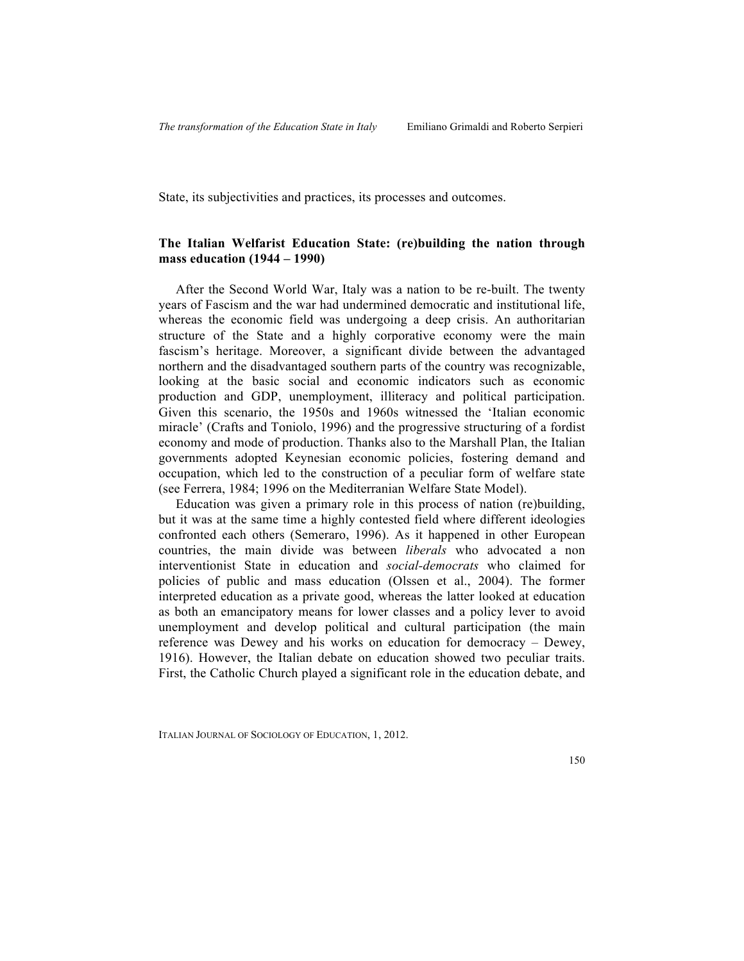State, its subjectivities and practices, its processes and outcomes.

# **The Italian Welfarist Education State: (re)building the nation through mass education (1944 – 1990)**

After the Second World War, Italy was a nation to be re-built. The twenty years of Fascism and the war had undermined democratic and institutional life, whereas the economic field was undergoing a deep crisis. An authoritarian structure of the State and a highly corporative economy were the main fascism's heritage. Moreover, a significant divide between the advantaged northern and the disadvantaged southern parts of the country was recognizable, looking at the basic social and economic indicators such as economic production and GDP, unemployment, illiteracy and political participation. Given this scenario, the 1950s and 1960s witnessed the 'Italian economic miracle' (Crafts and Toniolo, 1996) and the progressive structuring of a fordist economy and mode of production. Thanks also to the Marshall Plan, the Italian governments adopted Keynesian economic policies, fostering demand and occupation, which led to the construction of a peculiar form of welfare state (see Ferrera, 1984; 1996 on the Mediterranian Welfare State Model).

Education was given a primary role in this process of nation (re)building, but it was at the same time a highly contested field where different ideologies confronted each others (Semeraro, 1996). As it happened in other European countries, the main divide was between *liberals* who advocated a non interventionist State in education and *social-democrats* who claimed for policies of public and mass education (Olssen et al., 2004). The former interpreted education as a private good, whereas the latter looked at education as both an emancipatory means for lower classes and a policy lever to avoid unemployment and develop political and cultural participation (the main reference was Dewey and his works on education for democracy – Dewey, 1916). However, the Italian debate on education showed two peculiar traits. First, the Catholic Church played a significant role in the education debate, and

ITALIAN JOURNAL OF SOCIOLOGY OF EDUCATION, 1, 2012.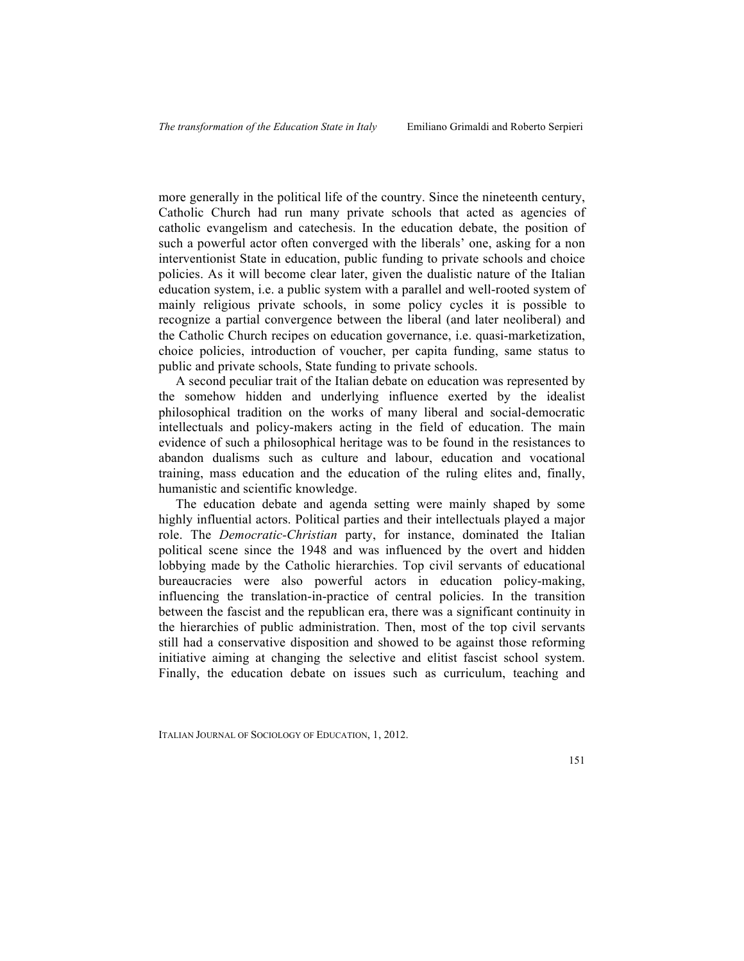more generally in the political life of the country. Since the nineteenth century, Catholic Church had run many private schools that acted as agencies of catholic evangelism and catechesis. In the education debate, the position of such a powerful actor often converged with the liberals' one, asking for a non interventionist State in education, public funding to private schools and choice policies. As it will become clear later, given the dualistic nature of the Italian education system, i.e. a public system with a parallel and well-rooted system of mainly religious private schools, in some policy cycles it is possible to recognize a partial convergence between the liberal (and later neoliberal) and the Catholic Church recipes on education governance, i.e. quasi-marketization, choice policies, introduction of voucher, per capita funding, same status to public and private schools, State funding to private schools.

A second peculiar trait of the Italian debate on education was represented by the somehow hidden and underlying influence exerted by the idealist philosophical tradition on the works of many liberal and social-democratic intellectuals and policy-makers acting in the field of education. The main evidence of such a philosophical heritage was to be found in the resistances to abandon dualisms such as culture and labour, education and vocational training, mass education and the education of the ruling elites and, finally, humanistic and scientific knowledge.

The education debate and agenda setting were mainly shaped by some highly influential actors. Political parties and their intellectuals played a major role. The *Democratic-Christian* party, for instance, dominated the Italian political scene since the 1948 and was influenced by the overt and hidden lobbying made by the Catholic hierarchies. Top civil servants of educational bureaucracies were also powerful actors in education policy-making, influencing the translation-in-practice of central policies. In the transition between the fascist and the republican era, there was a significant continuity in the hierarchies of public administration. Then, most of the top civil servants still had a conservative disposition and showed to be against those reforming initiative aiming at changing the selective and elitist fascist school system. Finally, the education debate on issues such as curriculum, teaching and

ITALIAN JOURNAL OF SOCIOLOGY OF EDUCATION, 1, 2012.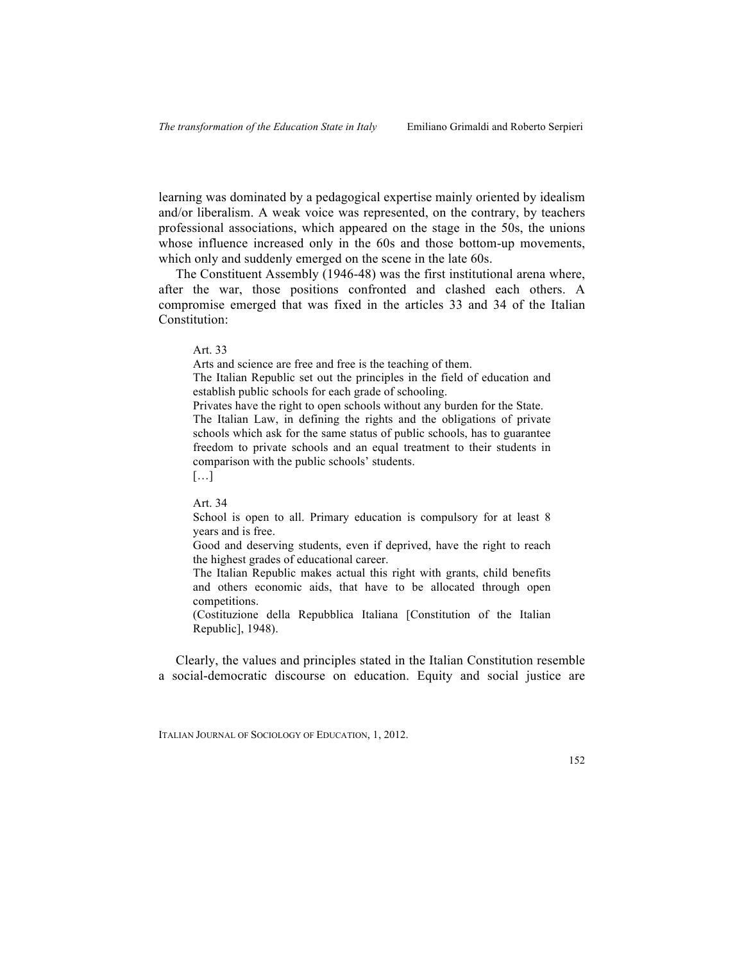learning was dominated by a pedagogical expertise mainly oriented by idealism and/or liberalism. A weak voice was represented, on the contrary, by teachers professional associations, which appeared on the stage in the 50s, the unions whose influence increased only in the 60s and those bottom-up movements, which only and suddenly emerged on the scene in the late 60s.

The Constituent Assembly (1946-48) was the first institutional arena where, after the war, those positions confronted and clashed each others. A compromise emerged that was fixed in the articles 33 and 34 of the Italian Constitution:

Art. 33

Arts and science are free and free is the teaching of them.

The Italian Republic set out the principles in the field of education and establish public schools for each grade of schooling.

Privates have the right to open schools without any burden for the State. The Italian Law, in defining the rights and the obligations of private schools which ask for the same status of public schools, has to guarantee freedom to private schools and an equal treatment to their students in comparison with the public schools' students.

 $[\dots]$ 

Art. 34

School is open to all. Primary education is compulsory for at least 8 years and is free.

Good and deserving students, even if deprived, have the right to reach the highest grades of educational career.

The Italian Republic makes actual this right with grants, child benefits and others economic aids, that have to be allocated through open competitions.

(Costituzione della Repubblica Italiana [Constitution of the Italian Republic], 1948).

Clearly, the values and principles stated in the Italian Constitution resemble a social-democratic discourse on education. Equity and social justice are

ITALIAN JOURNAL OF SOCIOLOGY OF EDUCATION, 1, 2012.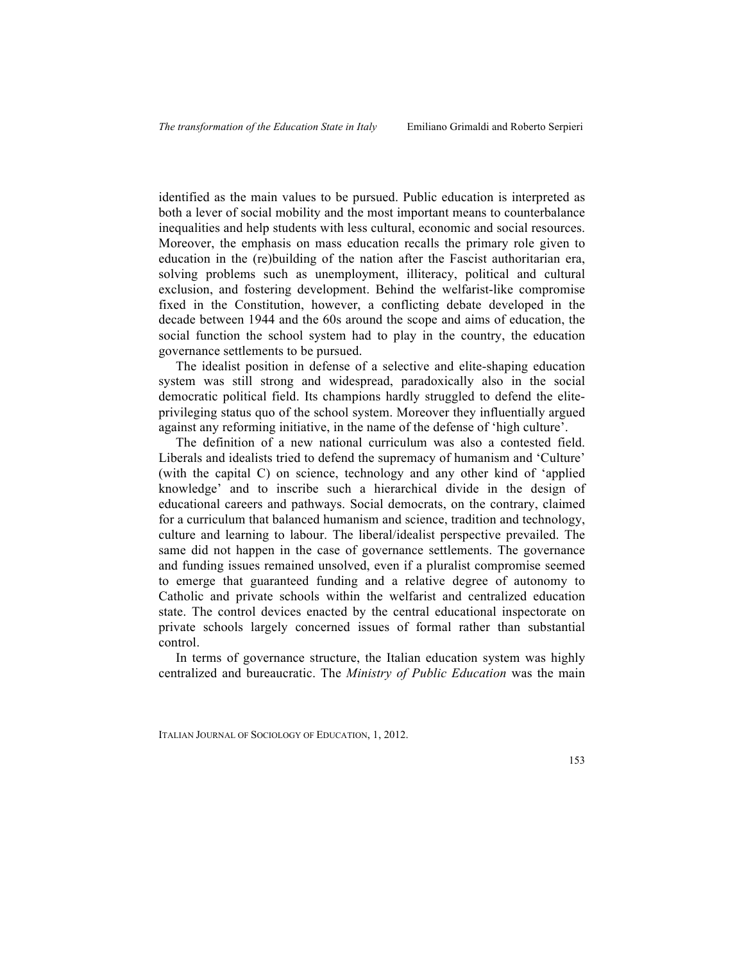identified as the main values to be pursued. Public education is interpreted as both a lever of social mobility and the most important means to counterbalance inequalities and help students with less cultural, economic and social resources. Moreover, the emphasis on mass education recalls the primary role given to education in the (re)building of the nation after the Fascist authoritarian era, solving problems such as unemployment, illiteracy, political and cultural exclusion, and fostering development. Behind the welfarist-like compromise fixed in the Constitution, however, a conflicting debate developed in the decade between 1944 and the 60s around the scope and aims of education, the social function the school system had to play in the country, the education governance settlements to be pursued.

The idealist position in defense of a selective and elite-shaping education system was still strong and widespread, paradoxically also in the social democratic political field. Its champions hardly struggled to defend the eliteprivileging status quo of the school system. Moreover they influentially argued against any reforming initiative, in the name of the defense of 'high culture'.

The definition of a new national curriculum was also a contested field. Liberals and idealists tried to defend the supremacy of humanism and 'Culture' (with the capital C) on science, technology and any other kind of 'applied knowledge' and to inscribe such a hierarchical divide in the design of educational careers and pathways. Social democrats, on the contrary, claimed for a curriculum that balanced humanism and science, tradition and technology, culture and learning to labour. The liberal/idealist perspective prevailed. The same did not happen in the case of governance settlements. The governance and funding issues remained unsolved, even if a pluralist compromise seemed to emerge that guaranteed funding and a relative degree of autonomy to Catholic and private schools within the welfarist and centralized education state. The control devices enacted by the central educational inspectorate on private schools largely concerned issues of formal rather than substantial control.

In terms of governance structure, the Italian education system was highly centralized and bureaucratic. The *Ministry of Public Education* was the main

ITALIAN JOURNAL OF SOCIOLOGY OF EDUCATION, 1, 2012.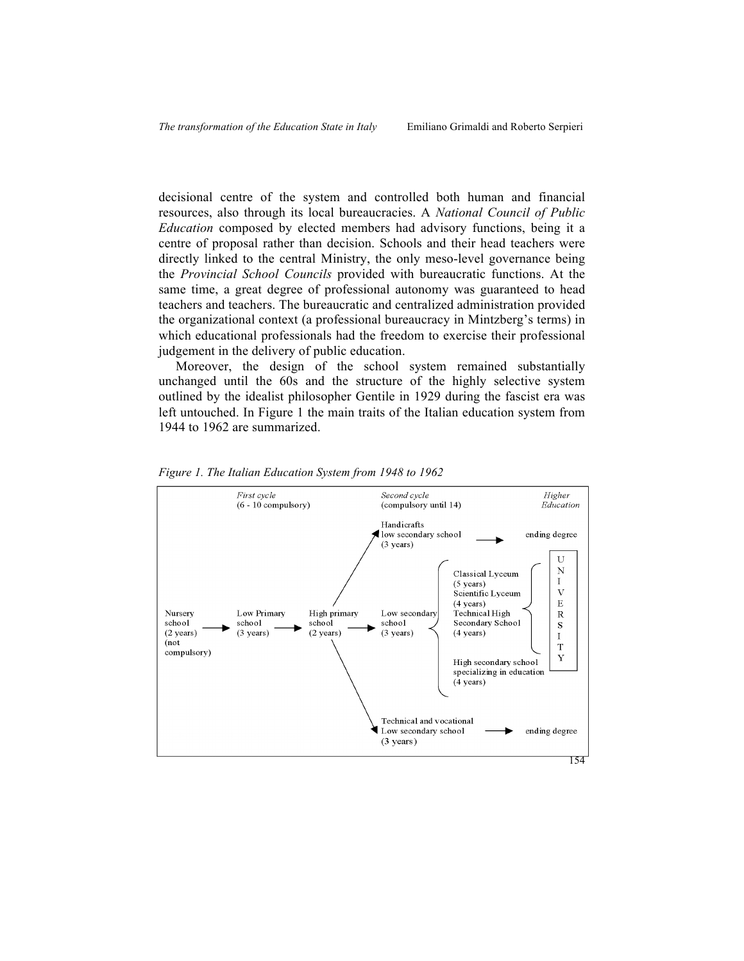decisional centre of the system and controlled both human and financial resources, also through its local bureaucracies. A *National Council of Public Education* composed by elected members had advisory functions, being it a centre of proposal rather than decision. Schools and their head teachers were directly linked to the central Ministry, the only meso-level governance being the *Provincial School Councils* provided with bureaucratic functions. At the same time, a great degree of professional autonomy was guaranteed to head teachers and teachers. The bureaucratic and centralized administration provided the organizational context (a professional bureaucracy in Mintzberg's terms) in which educational professionals had the freedom to exercise their professional judgement in the delivery of public education.

Moreover, the design of the school system remained substantially unchanged until the 60s and the structure of the highly selective system outlined by the idealist philosopher Gentile in 1929 during the fascist era was left untouched. In Figure 1 the main traits of the Italian education system from 1944 to 1962 are summarized.



*Figure 1. The Italian Education System from 1948 to 1962*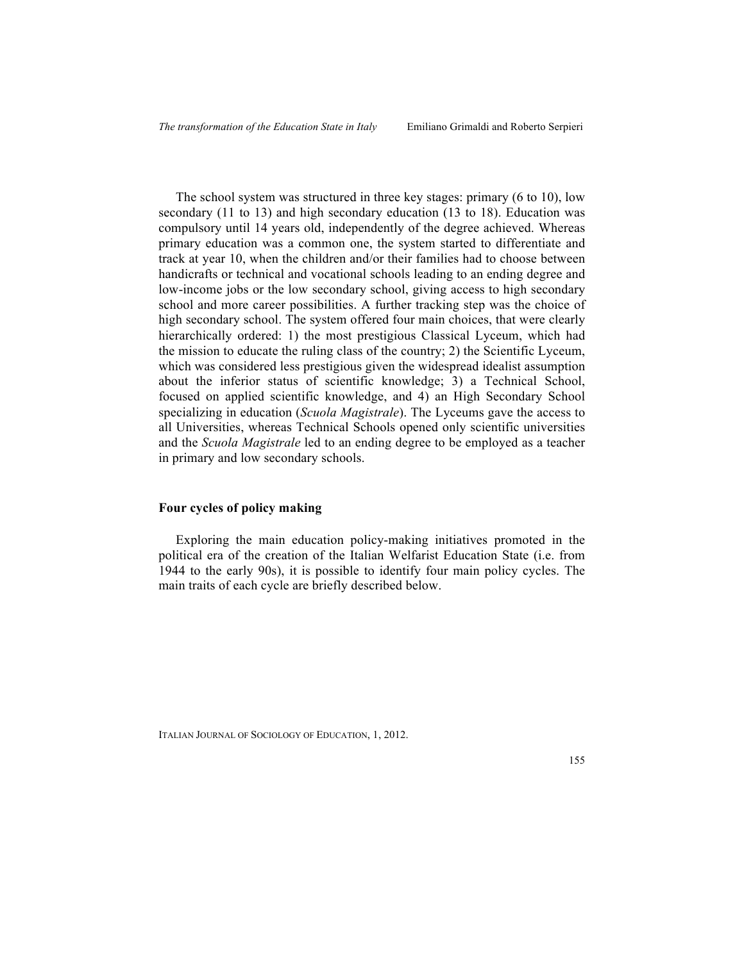The school system was structured in three key stages: primary (6 to 10), low secondary (11 to 13) and high secondary education (13 to 18). Education was compulsory until 14 years old, independently of the degree achieved. Whereas primary education was a common one, the system started to differentiate and track at year 10, when the children and/or their families had to choose between handicrafts or technical and vocational schools leading to an ending degree and low-income jobs or the low secondary school, giving access to high secondary school and more career possibilities. A further tracking step was the choice of high secondary school. The system offered four main choices, that were clearly hierarchically ordered: 1) the most prestigious Classical Lyceum, which had the mission to educate the ruling class of the country; 2) the Scientific Lyceum, which was considered less prestigious given the widespread idealist assumption about the inferior status of scientific knowledge; 3) a Technical School, focused on applied scientific knowledge, and 4) an High Secondary School specializing in education (*Scuola Magistrale*). The Lyceums gave the access to all Universities, whereas Technical Schools opened only scientific universities and the *Scuola Magistrale* led to an ending degree to be employed as a teacher in primary and low secondary schools.

## **Four cycles of policy making**

Exploring the main education policy-making initiatives promoted in the political era of the creation of the Italian Welfarist Education State (i.e. from 1944 to the early 90s), it is possible to identify four main policy cycles. The main traits of each cycle are briefly described below.

ITALIAN JOURNAL OF SOCIOLOGY OF EDUCATION, 1, 2012.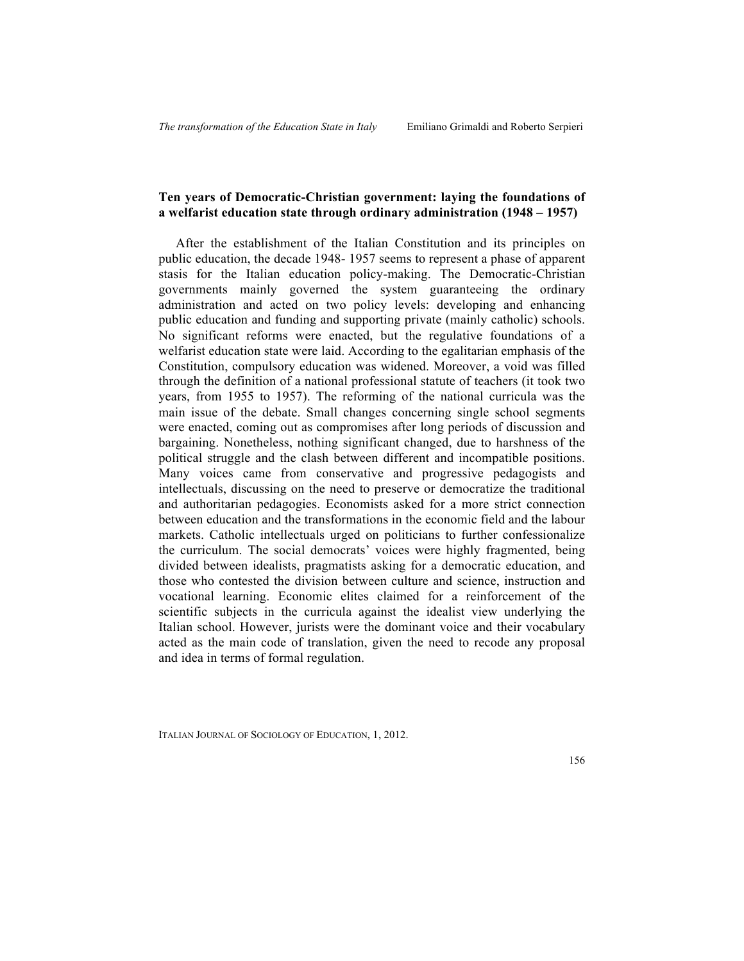# **Ten years of Democratic-Christian government: laying the foundations of a welfarist education state through ordinary administration (1948 – 1957)**

After the establishment of the Italian Constitution and its principles on public education, the decade 1948- 1957 seems to represent a phase of apparent stasis for the Italian education policy-making. The Democratic-Christian governments mainly governed the system guaranteeing the ordinary administration and acted on two policy levels: developing and enhancing public education and funding and supporting private (mainly catholic) schools. No significant reforms were enacted, but the regulative foundations of a welfarist education state were laid. According to the egalitarian emphasis of the Constitution, compulsory education was widened. Moreover, a void was filled through the definition of a national professional statute of teachers (it took two years, from 1955 to 1957). The reforming of the national curricula was the main issue of the debate. Small changes concerning single school segments were enacted, coming out as compromises after long periods of discussion and bargaining. Nonetheless, nothing significant changed, due to harshness of the political struggle and the clash between different and incompatible positions. Many voices came from conservative and progressive pedagogists and intellectuals, discussing on the need to preserve or democratize the traditional and authoritarian pedagogies. Economists asked for a more strict connection between education and the transformations in the economic field and the labour markets. Catholic intellectuals urged on politicians to further confessionalize the curriculum. The social democrats' voices were highly fragmented, being divided between idealists, pragmatists asking for a democratic education, and those who contested the division between culture and science, instruction and vocational learning. Economic elites claimed for a reinforcement of the scientific subjects in the curricula against the idealist view underlying the Italian school. However, jurists were the dominant voice and their vocabulary acted as the main code of translation, given the need to recode any proposal and idea in terms of formal regulation.

ITALIAN JOURNAL OF SOCIOLOGY OF EDUCATION, 1, 2012.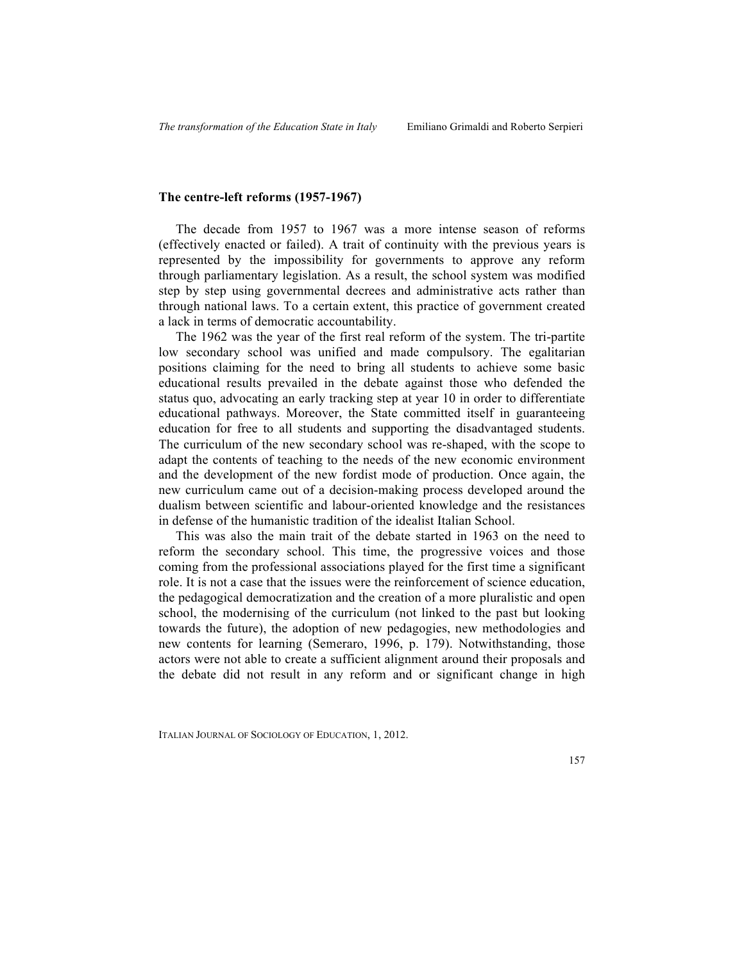# **The centre-left reforms (1957-1967)**

The decade from 1957 to 1967 was a more intense season of reforms (effectively enacted or failed). A trait of continuity with the previous years is represented by the impossibility for governments to approve any reform through parliamentary legislation. As a result, the school system was modified step by step using governmental decrees and administrative acts rather than through national laws. To a certain extent, this practice of government created a lack in terms of democratic accountability.

The 1962 was the year of the first real reform of the system. The tri-partite low secondary school was unified and made compulsory. The egalitarian positions claiming for the need to bring all students to achieve some basic educational results prevailed in the debate against those who defended the status quo, advocating an early tracking step at year 10 in order to differentiate educational pathways. Moreover, the State committed itself in guaranteeing education for free to all students and supporting the disadvantaged students. The curriculum of the new secondary school was re-shaped, with the scope to adapt the contents of teaching to the needs of the new economic environment and the development of the new fordist mode of production. Once again, the new curriculum came out of a decision-making process developed around the dualism between scientific and labour-oriented knowledge and the resistances in defense of the humanistic tradition of the idealist Italian School.

This was also the main trait of the debate started in 1963 on the need to reform the secondary school. This time, the progressive voices and those coming from the professional associations played for the first time a significant role. It is not a case that the issues were the reinforcement of science education, the pedagogical democratization and the creation of a more pluralistic and open school, the modernising of the curriculum (not linked to the past but looking towards the future), the adoption of new pedagogies, new methodologies and new contents for learning (Semeraro, 1996, p. 179). Notwithstanding, those actors were not able to create a sufficient alignment around their proposals and the debate did not result in any reform and or significant change in high

ITALIAN JOURNAL OF SOCIOLOGY OF EDUCATION, 1, 2012.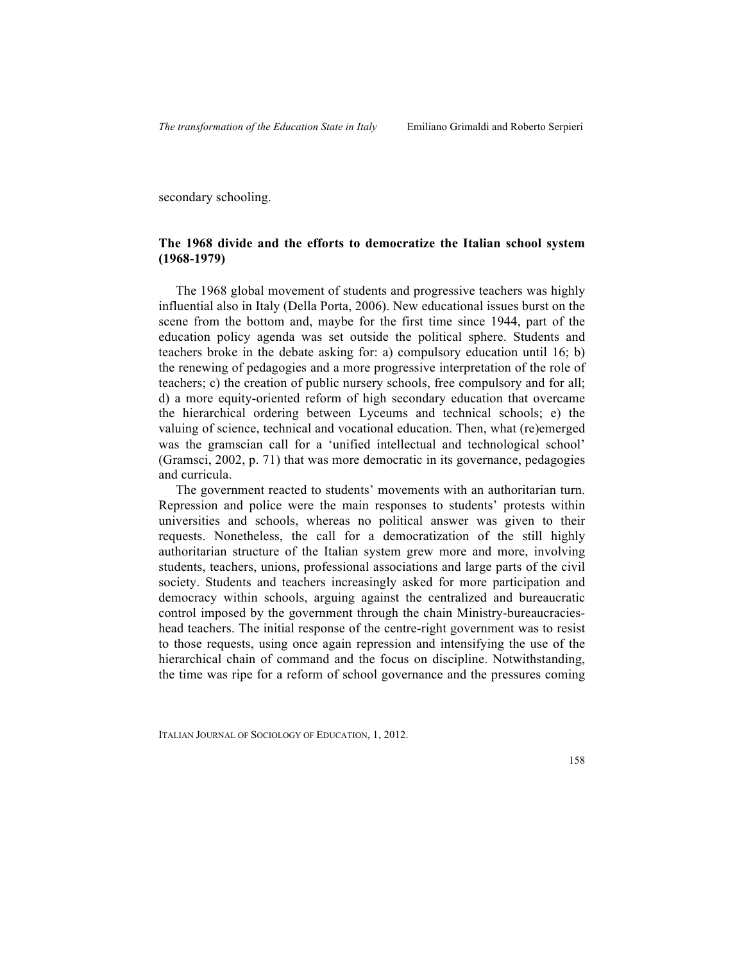secondary schooling.

# **The 1968 divide and the efforts to democratize the Italian school system (1968-1979)**

The 1968 global movement of students and progressive teachers was highly influential also in Italy (Della Porta, 2006). New educational issues burst on the scene from the bottom and, maybe for the first time since 1944, part of the education policy agenda was set outside the political sphere. Students and teachers broke in the debate asking for: a) compulsory education until 16; b) the renewing of pedagogies and a more progressive interpretation of the role of teachers; c) the creation of public nursery schools, free compulsory and for all; d) a more equity-oriented reform of high secondary education that overcame the hierarchical ordering between Lyceums and technical schools; e) the valuing of science, technical and vocational education. Then, what (re)emerged was the gramscian call for a 'unified intellectual and technological school' (Gramsci, 2002, p. 71) that was more democratic in its governance, pedagogies and curricula.

The government reacted to students' movements with an authoritarian turn. Repression and police were the main responses to students' protests within universities and schools, whereas no political answer was given to their requests. Nonetheless, the call for a democratization of the still highly authoritarian structure of the Italian system grew more and more, involving students, teachers, unions, professional associations and large parts of the civil society. Students and teachers increasingly asked for more participation and democracy within schools, arguing against the centralized and bureaucratic control imposed by the government through the chain Ministry-bureaucracieshead teachers. The initial response of the centre-right government was to resist to those requests, using once again repression and intensifying the use of the hierarchical chain of command and the focus on discipline. Notwithstanding, the time was ripe for a reform of school governance and the pressures coming

ITALIAN JOURNAL OF SOCIOLOGY OF EDUCATION, 1, 2012.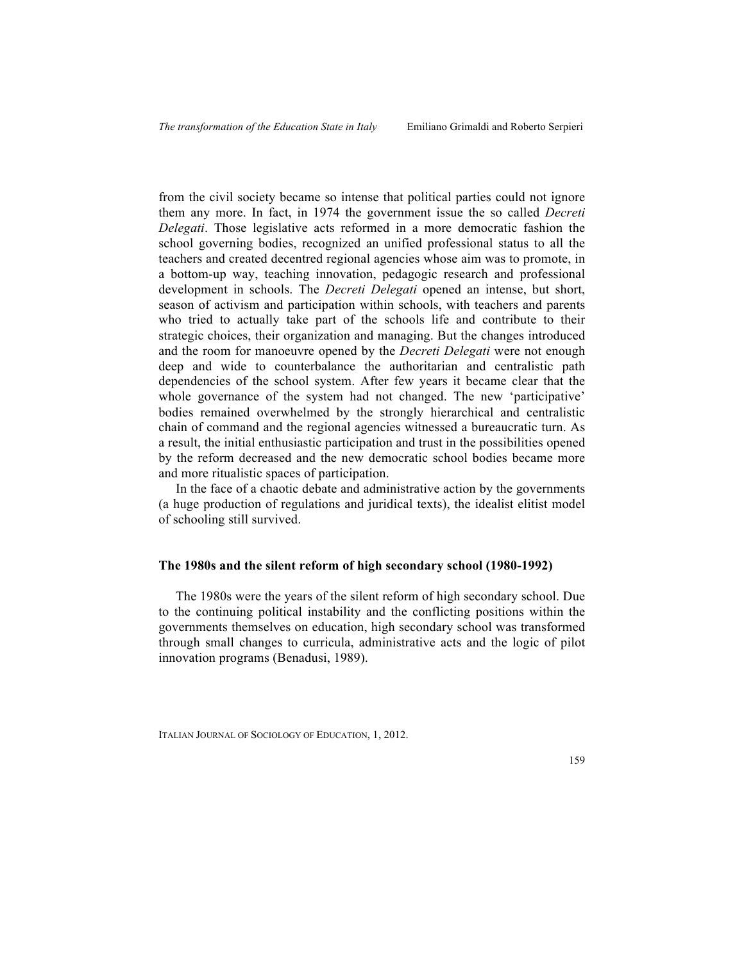from the civil society became so intense that political parties could not ignore them any more. In fact, in 1974 the government issue the so called *Decreti Delegati*. Those legislative acts reformed in a more democratic fashion the school governing bodies, recognized an unified professional status to all the teachers and created decentred regional agencies whose aim was to promote, in a bottom-up way, teaching innovation, pedagogic research and professional development in schools. The *Decreti Delegati* opened an intense, but short, season of activism and participation within schools, with teachers and parents who tried to actually take part of the schools life and contribute to their strategic choices, their organization and managing. But the changes introduced and the room for manoeuvre opened by the *Decreti Delegati* were not enough deep and wide to counterbalance the authoritarian and centralistic path dependencies of the school system. After few years it became clear that the whole governance of the system had not changed. The new 'participative' bodies remained overwhelmed by the strongly hierarchical and centralistic chain of command and the regional agencies witnessed a bureaucratic turn. As a result, the initial enthusiastic participation and trust in the possibilities opened by the reform decreased and the new democratic school bodies became more and more ritualistic spaces of participation.

In the face of a chaotic debate and administrative action by the governments (a huge production of regulations and juridical texts), the idealist elitist model of schooling still survived.

## **The 1980s and the silent reform of high secondary school (1980-1992)**

The 1980s were the years of the silent reform of high secondary school. Due to the continuing political instability and the conflicting positions within the governments themselves on education, high secondary school was transformed through small changes to curricula, administrative acts and the logic of pilot innovation programs (Benadusi, 1989).

ITALIAN JOURNAL OF SOCIOLOGY OF EDUCATION, 1, 2012.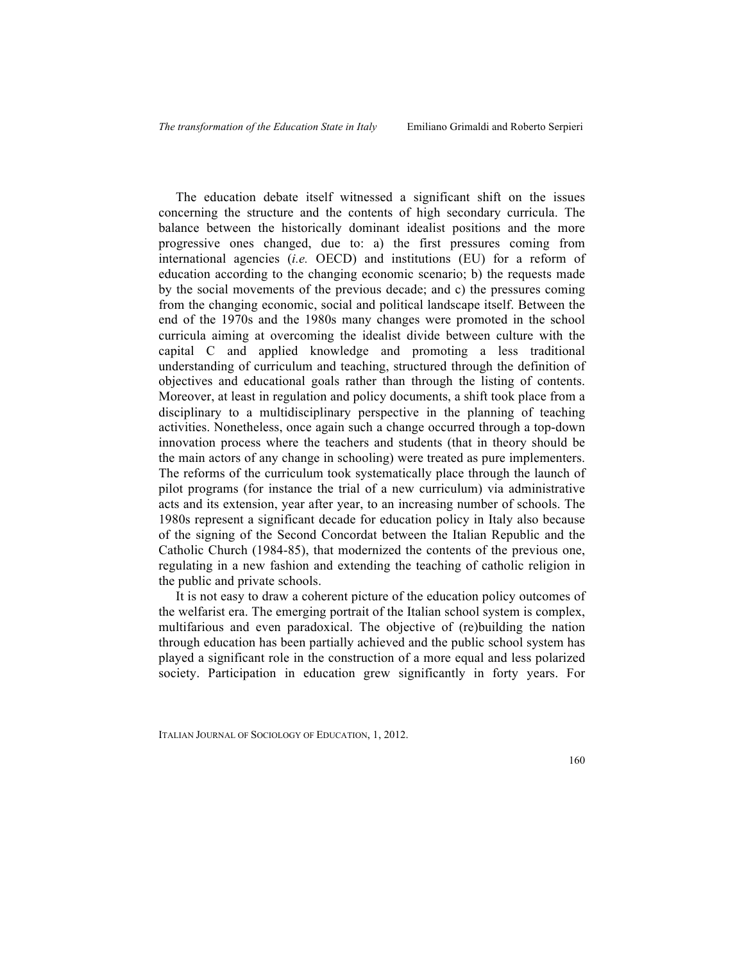The education debate itself witnessed a significant shift on the issues concerning the structure and the contents of high secondary curricula. The balance between the historically dominant idealist positions and the more progressive ones changed, due to: a) the first pressures coming from international agencies (*i.e.* OECD) and institutions (EU) for a reform of education according to the changing economic scenario; b) the requests made by the social movements of the previous decade; and c) the pressures coming from the changing economic, social and political landscape itself. Between the end of the 1970s and the 1980s many changes were promoted in the school curricula aiming at overcoming the idealist divide between culture with the capital C and applied knowledge and promoting a less traditional understanding of curriculum and teaching, structured through the definition of objectives and educational goals rather than through the listing of contents. Moreover, at least in regulation and policy documents, a shift took place from a disciplinary to a multidisciplinary perspective in the planning of teaching activities. Nonetheless, once again such a change occurred through a top-down innovation process where the teachers and students (that in theory should be the main actors of any change in schooling) were treated as pure implementers. The reforms of the curriculum took systematically place through the launch of pilot programs (for instance the trial of a new curriculum) via administrative acts and its extension, year after year, to an increasing number of schools. The 1980s represent a significant decade for education policy in Italy also because of the signing of the Second Concordat between the Italian Republic and the Catholic Church (1984-85), that modernized the contents of the previous one, regulating in a new fashion and extending the teaching of catholic religion in the public and private schools.

It is not easy to draw a coherent picture of the education policy outcomes of the welfarist era. The emerging portrait of the Italian school system is complex, multifarious and even paradoxical. The objective of (re)building the nation through education has been partially achieved and the public school system has played a significant role in the construction of a more equal and less polarized society. Participation in education grew significantly in forty years. For

ITALIAN JOURNAL OF SOCIOLOGY OF EDUCATION, 1, 2012.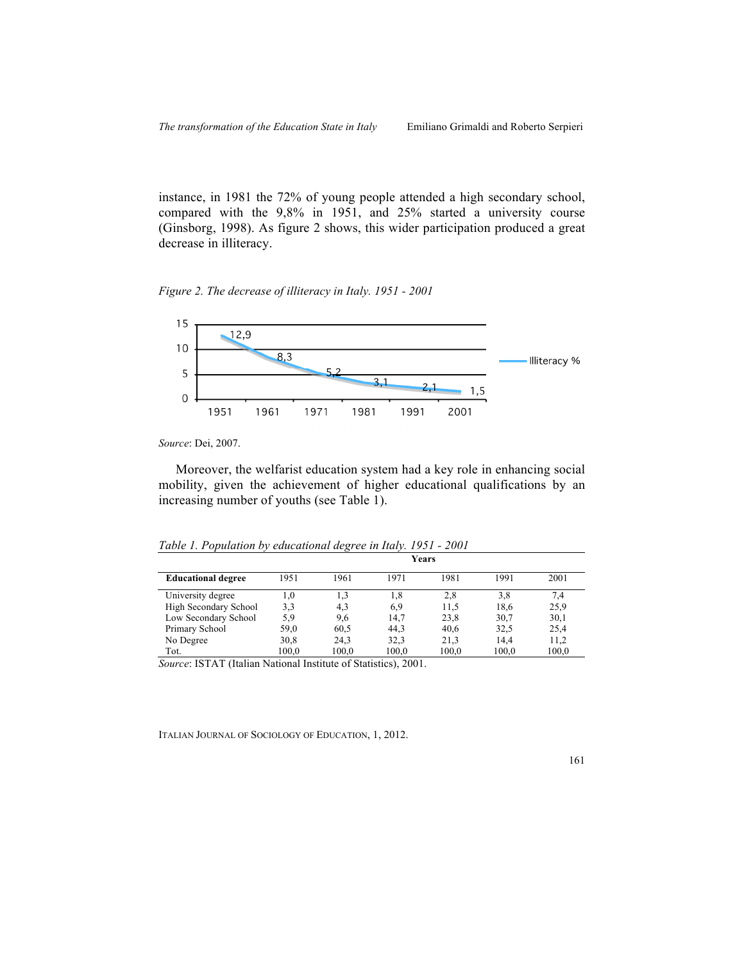instance, in 1981 the 72% of young people attended a high secondary school, compared with the 9,8% in 1951, and 25% started a university course (Ginsborg, 1998). As figure 2 shows, this wider participation produced a great decrease in illiteracy.

*Figure 2. The decrease of illiteracy in Italy. 1951 - 2001*



*Source*: Dei, 2007.

Moreover, the welfarist education system had a key role in enhancing social mobility, given the achievement of higher educational qualifications by an increasing number of youths (see Table 1).

*Table 1. Population by educational degree in Italy. 1951 - 2001*

|                           | Years |       |       |       |       |       |
|---------------------------|-------|-------|-------|-------|-------|-------|
| <b>Educational degree</b> | 1951  | 1961  | 1971  | 1981  | 1991  | 2001  |
| University degree         | 1,0   | 1,3   | 1,8   | 2,8   | 3,8   | 7,4   |
| High Secondary School     | 3,3   | 4,3   | 6,9   | 11,5  | 18,6  | 25,9  |
| Low Secondary School      | 5,9   | 9,6   | 14,7  | 23,8  | 30,7  | 30,1  |
| Primary School            | 59,0  | 60,5  | 44,3  | 40,6  | 32,5  | 25,4  |
| No Degree                 | 30,8  | 24,3  | 32,3  | 21.3  | 14,4  | 11,2  |
| Tot.                      | 100,0 | 100,0 | 100,0 | 100,0 | 100,0 | 100,0 |

*Source*: ISTAT (Italian National Institute of Statistics), 2001.

ITALIAN JOURNAL OF SOCIOLOGY OF EDUCATION, 1, 2012.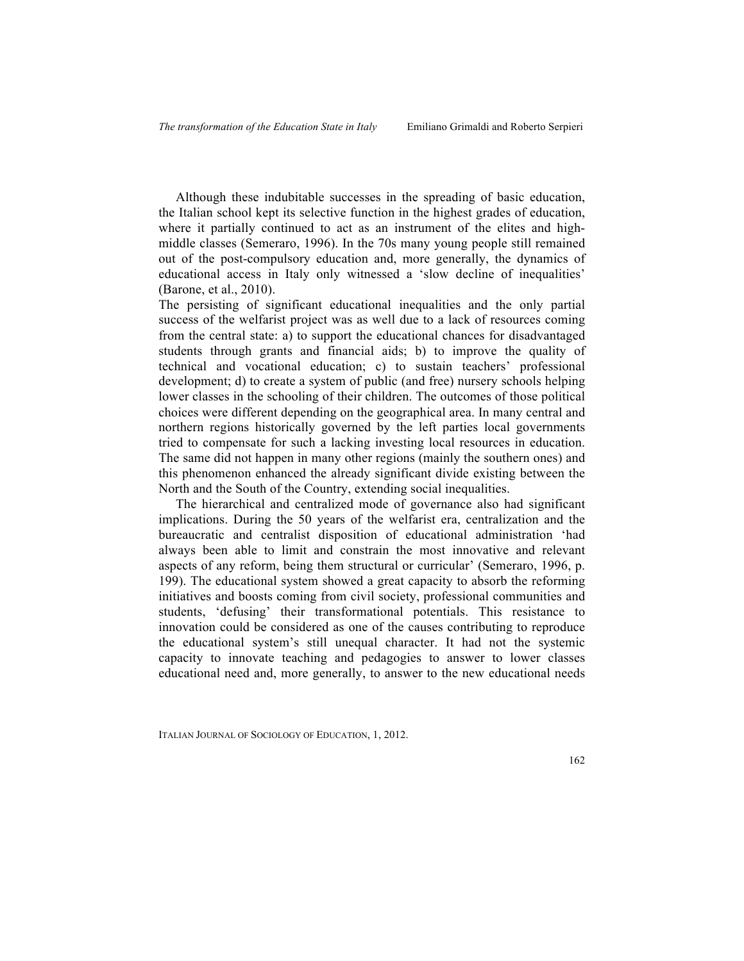Although these indubitable successes in the spreading of basic education, the Italian school kept its selective function in the highest grades of education, where it partially continued to act as an instrument of the elites and highmiddle classes (Semeraro, 1996). In the 70s many young people still remained out of the post-compulsory education and, more generally, the dynamics of educational access in Italy only witnessed a 'slow decline of inequalities' (Barone, et al., 2010).

The persisting of significant educational inequalities and the only partial success of the welfarist project was as well due to a lack of resources coming from the central state: a) to support the educational chances for disadvantaged students through grants and financial aids; b) to improve the quality of technical and vocational education; c) to sustain teachers' professional development; d) to create a system of public (and free) nursery schools helping lower classes in the schooling of their children. The outcomes of those political choices were different depending on the geographical area. In many central and northern regions historically governed by the left parties local governments tried to compensate for such a lacking investing local resources in education. The same did not happen in many other regions (mainly the southern ones) and this phenomenon enhanced the already significant divide existing between the North and the South of the Country, extending social inequalities.

The hierarchical and centralized mode of governance also had significant implications. During the 50 years of the welfarist era, centralization and the bureaucratic and centralist disposition of educational administration 'had always been able to limit and constrain the most innovative and relevant aspects of any reform, being them structural or curricular' (Semeraro, 1996, p. 199). The educational system showed a great capacity to absorb the reforming initiatives and boosts coming from civil society, professional communities and students, 'defusing' their transformational potentials. This resistance to innovation could be considered as one of the causes contributing to reproduce the educational system's still unequal character. It had not the systemic capacity to innovate teaching and pedagogies to answer to lower classes educational need and, more generally, to answer to the new educational needs

ITALIAN JOURNAL OF SOCIOLOGY OF EDUCATION, 1, 2012.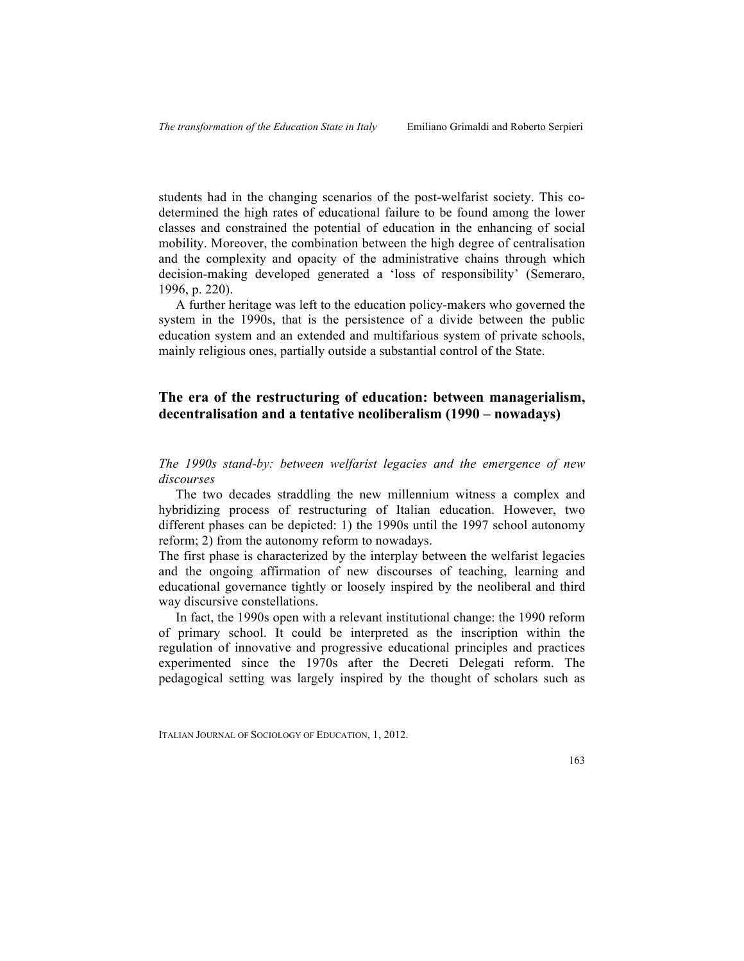students had in the changing scenarios of the post-welfarist society. This codetermined the high rates of educational failure to be found among the lower classes and constrained the potential of education in the enhancing of social mobility. Moreover, the combination between the high degree of centralisation and the complexity and opacity of the administrative chains through which decision-making developed generated a 'loss of responsibility' (Semeraro, 1996, p. 220).

A further heritage was left to the education policy-makers who governed the system in the 1990s, that is the persistence of a divide between the public education system and an extended and multifarious system of private schools, mainly religious ones, partially outside a substantial control of the State.

# **The era of the restructuring of education: between managerialism, decentralisation and a tentative neoliberalism (1990 – nowadays)**

*The 1990s stand-by: between welfarist legacies and the emergence of new discourses*

The two decades straddling the new millennium witness a complex and hybridizing process of restructuring of Italian education. However, two different phases can be depicted: 1) the 1990s until the 1997 school autonomy reform; 2) from the autonomy reform to nowadays.

The first phase is characterized by the interplay between the welfarist legacies and the ongoing affirmation of new discourses of teaching, learning and educational governance tightly or loosely inspired by the neoliberal and third way discursive constellations.

In fact, the 1990s open with a relevant institutional change: the 1990 reform of primary school. It could be interpreted as the inscription within the regulation of innovative and progressive educational principles and practices experimented since the 1970s after the Decreti Delegati reform. The pedagogical setting was largely inspired by the thought of scholars such as

ITALIAN JOURNAL OF SOCIOLOGY OF EDUCATION, 1, 2012.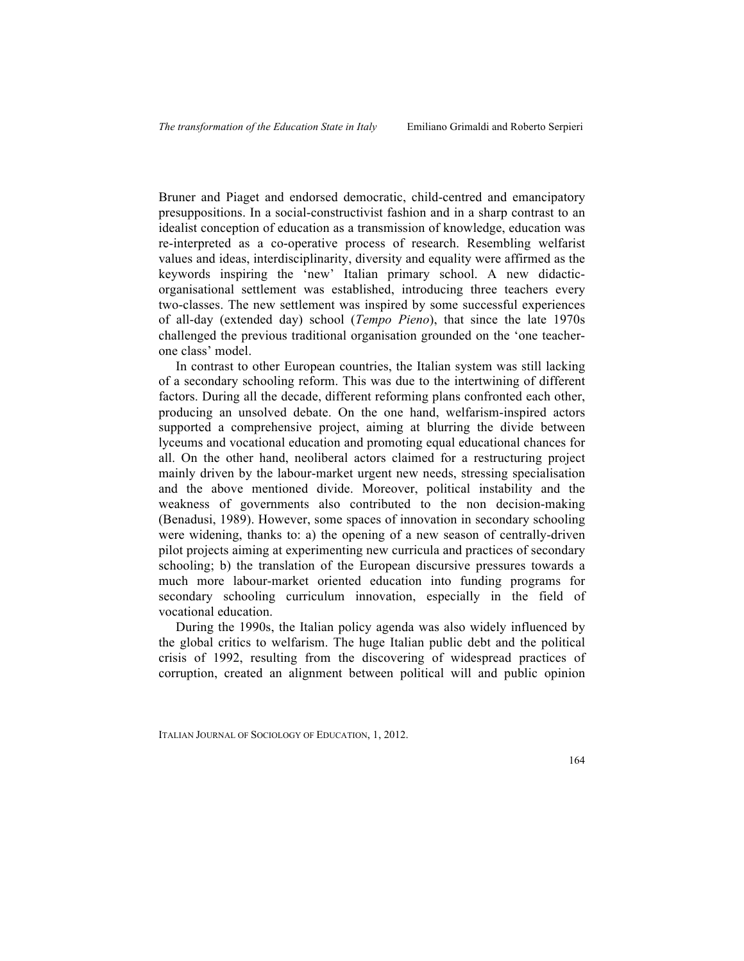Bruner and Piaget and endorsed democratic, child-centred and emancipatory presuppositions. In a social-constructivist fashion and in a sharp contrast to an idealist conception of education as a transmission of knowledge, education was re-interpreted as a co-operative process of research. Resembling welfarist values and ideas, interdisciplinarity, diversity and equality were affirmed as the keywords inspiring the 'new' Italian primary school. A new didacticorganisational settlement was established, introducing three teachers every two-classes. The new settlement was inspired by some successful experiences of all-day (extended day) school (*Tempo Pieno*), that since the late 1970s challenged the previous traditional organisation grounded on the 'one teacherone class' model.

In contrast to other European countries, the Italian system was still lacking of a secondary schooling reform. This was due to the intertwining of different factors. During all the decade, different reforming plans confronted each other, producing an unsolved debate. On the one hand, welfarism-inspired actors supported a comprehensive project, aiming at blurring the divide between lyceums and vocational education and promoting equal educational chances for all. On the other hand, neoliberal actors claimed for a restructuring project mainly driven by the labour-market urgent new needs, stressing specialisation and the above mentioned divide. Moreover, political instability and the weakness of governments also contributed to the non decision-making (Benadusi, 1989). However, some spaces of innovation in secondary schooling were widening, thanks to: a) the opening of a new season of centrally-driven pilot projects aiming at experimenting new curricula and practices of secondary schooling; b) the translation of the European discursive pressures towards a much more labour-market oriented education into funding programs for secondary schooling curriculum innovation, especially in the field of vocational education.

During the 1990s, the Italian policy agenda was also widely influenced by the global critics to welfarism. The huge Italian public debt and the political crisis of 1992, resulting from the discovering of widespread practices of corruption, created an alignment between political will and public opinion

ITALIAN JOURNAL OF SOCIOLOGY OF EDUCATION, 1, 2012.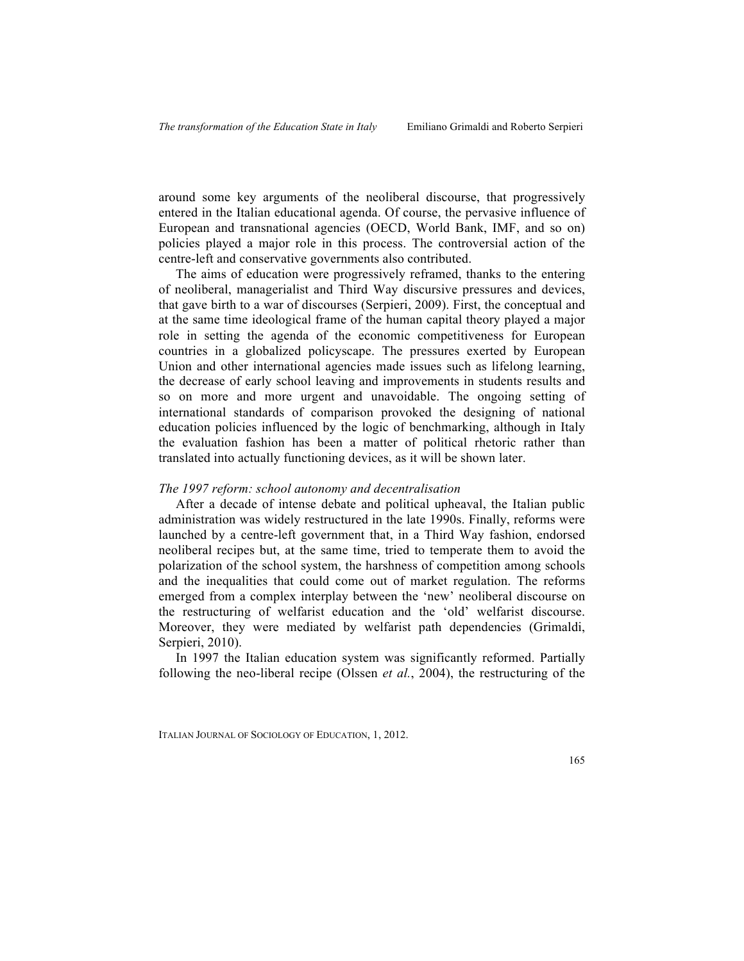around some key arguments of the neoliberal discourse, that progressively entered in the Italian educational agenda. Of course, the pervasive influence of European and transnational agencies (OECD, World Bank, IMF, and so on) policies played a major role in this process. The controversial action of the centre-left and conservative governments also contributed.

The aims of education were progressively reframed, thanks to the entering of neoliberal, managerialist and Third Way discursive pressures and devices, that gave birth to a war of discourses (Serpieri, 2009). First, the conceptual and at the same time ideological frame of the human capital theory played a major role in setting the agenda of the economic competitiveness for European countries in a globalized policyscape. The pressures exerted by European Union and other international agencies made issues such as lifelong learning, the decrease of early school leaving and improvements in students results and so on more and more urgent and unavoidable. The ongoing setting of international standards of comparison provoked the designing of national education policies influenced by the logic of benchmarking, although in Italy the evaluation fashion has been a matter of political rhetoric rather than translated into actually functioning devices, as it will be shown later.

## *The 1997 reform: school autonomy and decentralisation*

After a decade of intense debate and political upheaval, the Italian public administration was widely restructured in the late 1990s. Finally, reforms were launched by a centre-left government that, in a Third Way fashion, endorsed neoliberal recipes but, at the same time, tried to temperate them to avoid the polarization of the school system, the harshness of competition among schools and the inequalities that could come out of market regulation. The reforms emerged from a complex interplay between the 'new' neoliberal discourse on the restructuring of welfarist education and the 'old' welfarist discourse. Moreover, they were mediated by welfarist path dependencies (Grimaldi, Serpieri, 2010).

In 1997 the Italian education system was significantly reformed. Partially following the neo-liberal recipe (Olssen *et al.*, 2004), the restructuring of the

ITALIAN JOURNAL OF SOCIOLOGY OF EDUCATION, 1, 2012.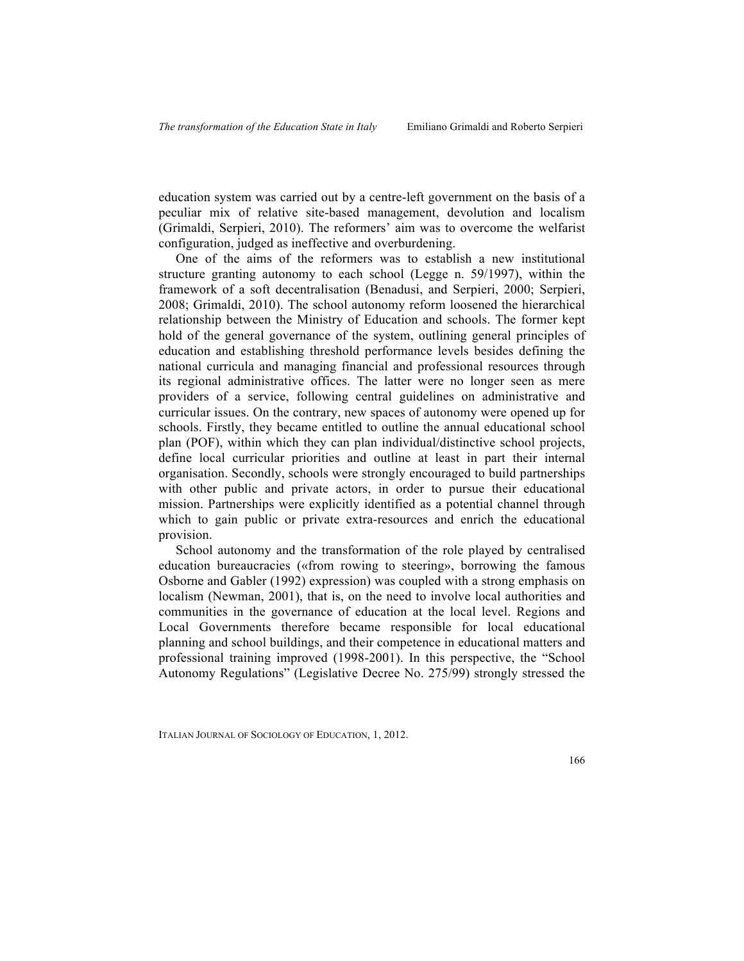education system was carried out by a centre-left government on the basis of a peculiar mix of relative site-based management, devolution and localism (Grimaldi, Serpieri, 2010). The reformers' aim was to overcome the welfarist configuration, judged as ineffective and overburdening.

One of the aims of the reformers was to establish a new institutional structure granting autonomy to each school (Legge n. 59/1997), within the framework of a soft decentralisation (Benadusi, and Serpieri, 2000; Serpieri, 2008; Grimaldi, 2010). The school autonomy reform loosened the hierarchical relationship between the Ministry of Education and schools. The former kept hold of the general governance of the system, outlining general principles of education and establishing threshold performance levels besides defining the national curricula and managing financial and professional resources through its regional administrative offices. The latter were no longer seen as mere providers of a service, following central guidelines on administrative and curricular issues. On the contrary, new spaces of autonomy were opened up for schools. Firstly, they became entitled to outline the annual educational school plan (POF), within which they can plan individual/distinctive school projects, define local curricular priorities and outline at least in part their internal organisation. Secondly, schools were strongly encouraged to build partnerships with other public and private actors, in order to pursue their educational mission. Partnerships were explicitly identified as a potential channel through which to gain public or private extra-resources and enrich the educational provision.

School autonomy and the transformation of the role played by centralised education bureaucracies («from rowing to steering», borrowing the famous Osborne and Gabler (1992) expression) was coupled with a strong emphasis on localism (Newman, 2001), that is, on the need to involve local authorities and communities in the governance of education at the local level. Regions and Local Governments therefore became responsible for local educational planning and school buildings, and their competence in educational matters and professional training improved (1998-2001). In this perspective, the "School Autonomy Regulations" (Legislative Decree No. 275/99) strongly stressed the

ITALIAN JOURNAL OF SOCIOLOGY OF EDUCATION, 1, 2012.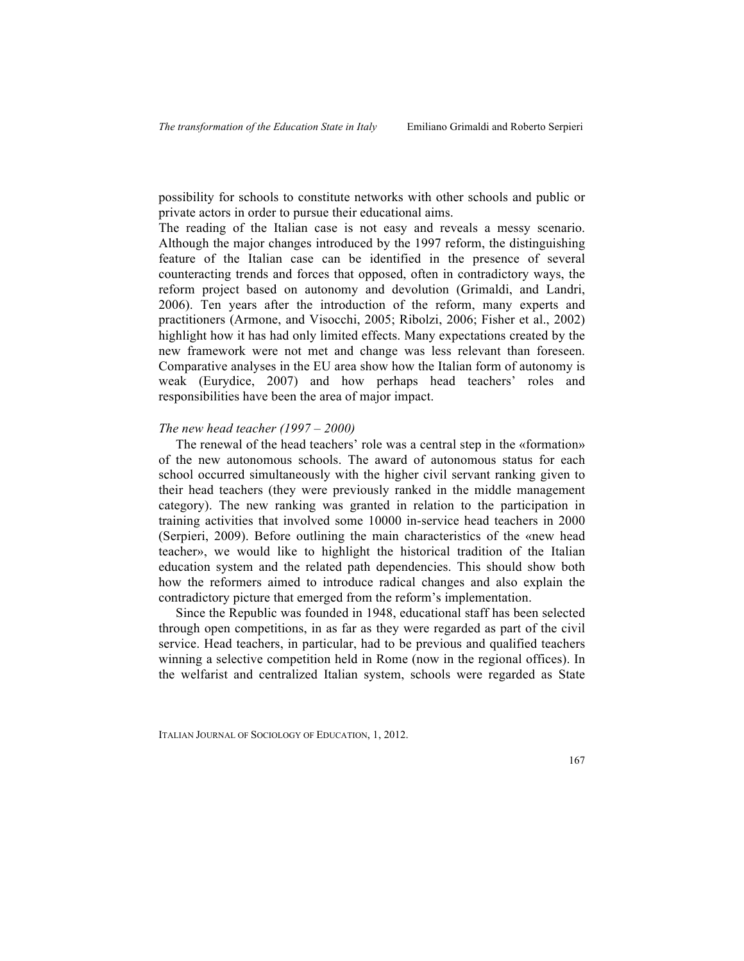possibility for schools to constitute networks with other schools and public or private actors in order to pursue their educational aims.

The reading of the Italian case is not easy and reveals a messy scenario. Although the major changes introduced by the 1997 reform, the distinguishing feature of the Italian case can be identified in the presence of several counteracting trends and forces that opposed, often in contradictory ways, the reform project based on autonomy and devolution (Grimaldi, and Landri, 2006). Ten years after the introduction of the reform, many experts and practitioners (Armone, and Visocchi, 2005; Ribolzi, 2006; Fisher et al., 2002) highlight how it has had only limited effects. Many expectations created by the new framework were not met and change was less relevant than foreseen. Comparative analyses in the EU area show how the Italian form of autonomy is weak (Eurydice, 2007) and how perhaps head teachers' roles and responsibilities have been the area of major impact.

## *The new head teacher (1997 – 2000)*

The renewal of the head teachers' role was a central step in the «formation» of the new autonomous schools. The award of autonomous status for each school occurred simultaneously with the higher civil servant ranking given to their head teachers (they were previously ranked in the middle management category). The new ranking was granted in relation to the participation in training activities that involved some 10000 in-service head teachers in 2000 (Serpieri, 2009). Before outlining the main characteristics of the «new head teacher», we would like to highlight the historical tradition of the Italian education system and the related path dependencies. This should show both how the reformers aimed to introduce radical changes and also explain the contradictory picture that emerged from the reform's implementation.

Since the Republic was founded in 1948, educational staff has been selected through open competitions, in as far as they were regarded as part of the civil service. Head teachers, in particular, had to be previous and qualified teachers winning a selective competition held in Rome (now in the regional offices). In the welfarist and centralized Italian system, schools were regarded as State

ITALIAN JOURNAL OF SOCIOLOGY OF EDUCATION, 1, 2012.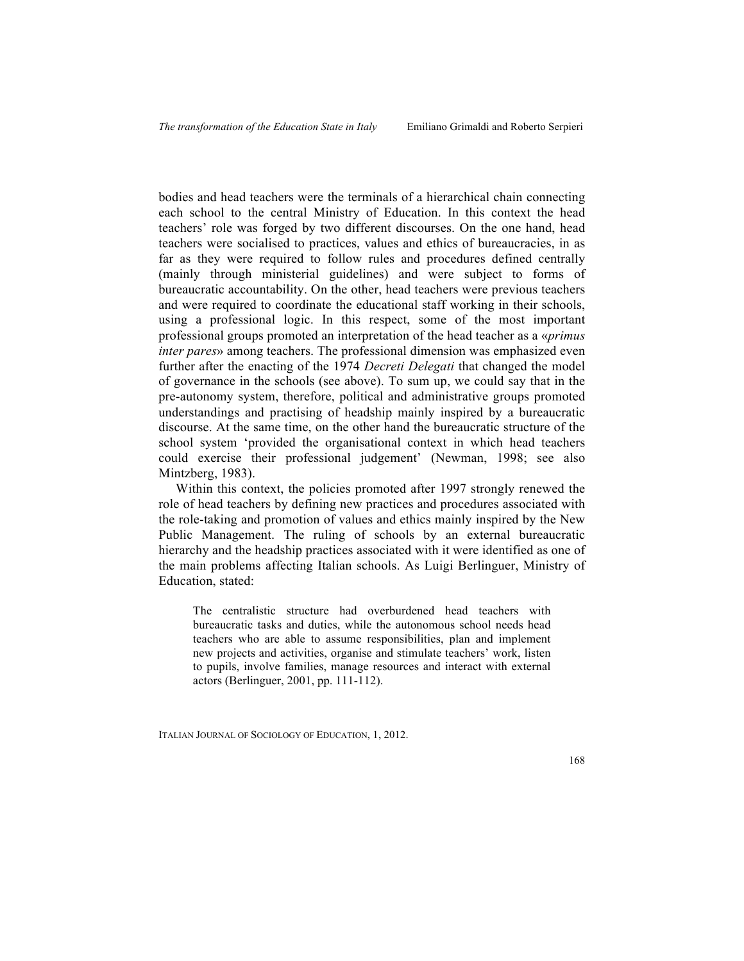bodies and head teachers were the terminals of a hierarchical chain connecting each school to the central Ministry of Education. In this context the head teachers' role was forged by two different discourses. On the one hand, head teachers were socialised to practices, values and ethics of bureaucracies, in as far as they were required to follow rules and procedures defined centrally (mainly through ministerial guidelines) and were subject to forms of bureaucratic accountability. On the other, head teachers were previous teachers and were required to coordinate the educational staff working in their schools, using a professional logic. In this respect, some of the most important professional groups promoted an interpretation of the head teacher as a «*primus inter pares*» among teachers. The professional dimension was emphasized even further after the enacting of the 1974 *Decreti Delegati* that changed the model of governance in the schools (see above). To sum up, we could say that in the pre-autonomy system, therefore, political and administrative groups promoted understandings and practising of headship mainly inspired by a bureaucratic discourse. At the same time, on the other hand the bureaucratic structure of the school system 'provided the organisational context in which head teachers could exercise their professional judgement' (Newman, 1998; see also Mintzberg, 1983).

Within this context, the policies promoted after 1997 strongly renewed the role of head teachers by defining new practices and procedures associated with the role-taking and promotion of values and ethics mainly inspired by the New Public Management. The ruling of schools by an external bureaucratic hierarchy and the headship practices associated with it were identified as one of the main problems affecting Italian schools. As Luigi Berlinguer, Ministry of Education, stated:

The centralistic structure had overburdened head teachers with bureaucratic tasks and duties, while the autonomous school needs head teachers who are able to assume responsibilities, plan and implement new projects and activities, organise and stimulate teachers' work, listen to pupils, involve families, manage resources and interact with external actors (Berlinguer, 2001, pp. 111-112).

ITALIAN JOURNAL OF SOCIOLOGY OF EDUCATION, 1, 2012.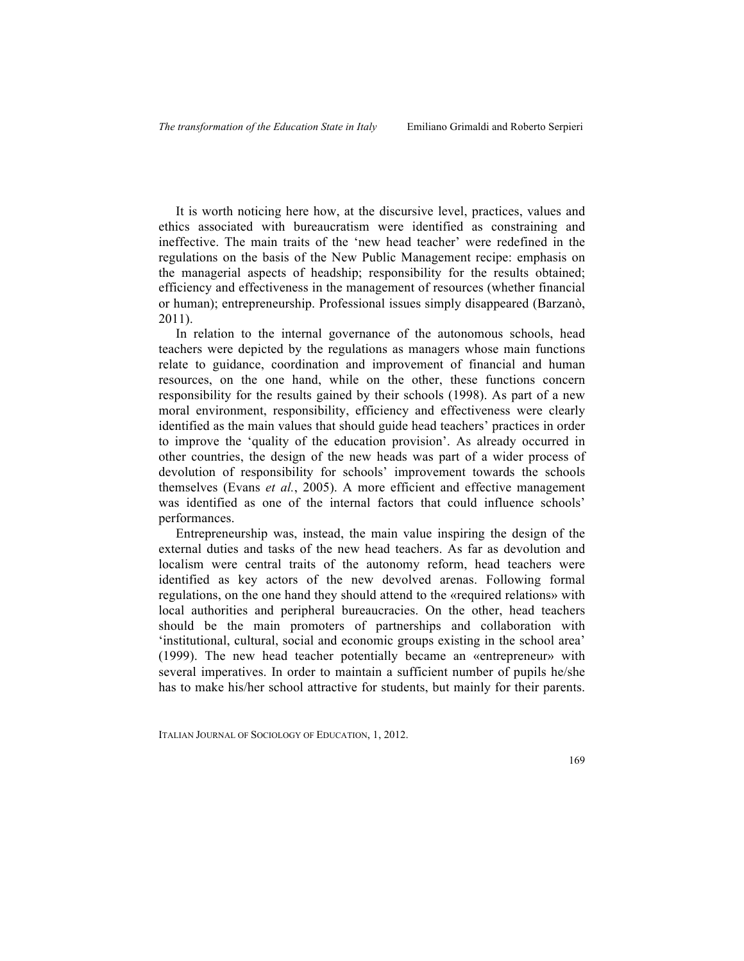It is worth noticing here how, at the discursive level, practices, values and ethics associated with bureaucratism were identified as constraining and ineffective. The main traits of the 'new head teacher' were redefined in the regulations on the basis of the New Public Management recipe: emphasis on the managerial aspects of headship; responsibility for the results obtained; efficiency and effectiveness in the management of resources (whether financial or human); entrepreneurship. Professional issues simply disappeared (Barzanò, 2011).

In relation to the internal governance of the autonomous schools, head teachers were depicted by the regulations as managers whose main functions relate to guidance, coordination and improvement of financial and human resources, on the one hand, while on the other, these functions concern responsibility for the results gained by their schools (1998). As part of a new moral environment, responsibility, efficiency and effectiveness were clearly identified as the main values that should guide head teachers' practices in order to improve the 'quality of the education provision'. As already occurred in other countries, the design of the new heads was part of a wider process of devolution of responsibility for schools' improvement towards the schools themselves (Evans *et al.*, 2005). A more efficient and effective management was identified as one of the internal factors that could influence schools' performances.

Entrepreneurship was, instead, the main value inspiring the design of the external duties and tasks of the new head teachers. As far as devolution and localism were central traits of the autonomy reform, head teachers were identified as key actors of the new devolved arenas. Following formal regulations, on the one hand they should attend to the «required relations» with local authorities and peripheral bureaucracies. On the other, head teachers should be the main promoters of partnerships and collaboration with 'institutional, cultural, social and economic groups existing in the school area' (1999). The new head teacher potentially became an «entrepreneur» with several imperatives. In order to maintain a sufficient number of pupils he/she has to make his/her school attractive for students, but mainly for their parents.

ITALIAN JOURNAL OF SOCIOLOGY OF EDUCATION, 1, 2012.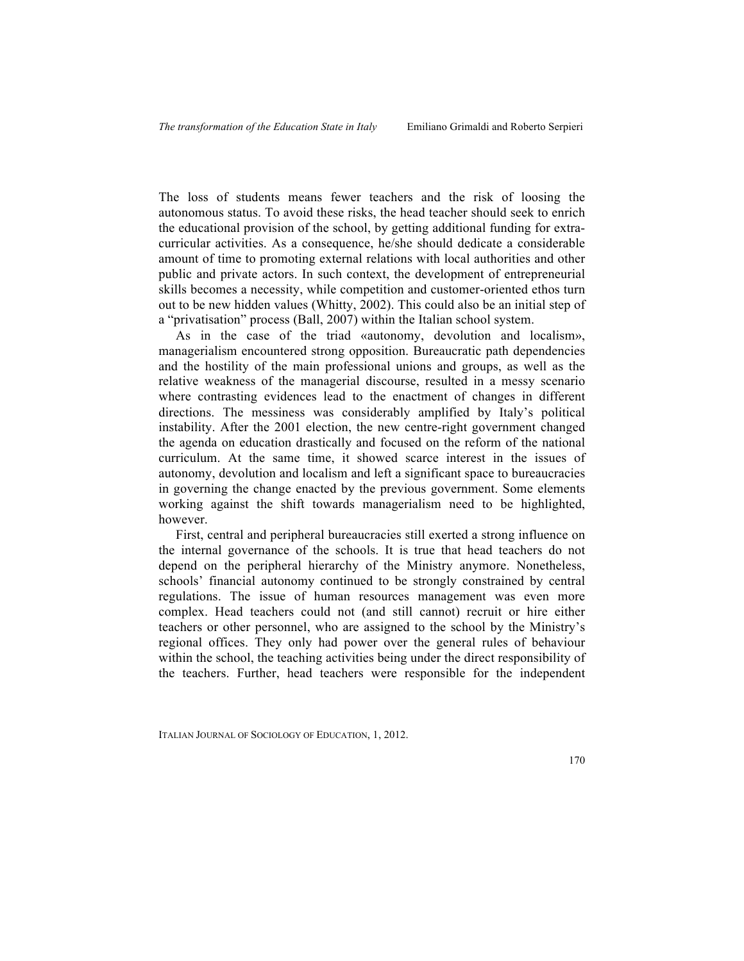The loss of students means fewer teachers and the risk of loosing the autonomous status. To avoid these risks, the head teacher should seek to enrich the educational provision of the school, by getting additional funding for extracurricular activities. As a consequence, he/she should dedicate a considerable amount of time to promoting external relations with local authorities and other public and private actors. In such context, the development of entrepreneurial skills becomes a necessity, while competition and customer-oriented ethos turn out to be new hidden values (Whitty, 2002). This could also be an initial step of a "privatisation" process (Ball, 2007) within the Italian school system.

As in the case of the triad «autonomy, devolution and localism», managerialism encountered strong opposition. Bureaucratic path dependencies and the hostility of the main professional unions and groups, as well as the relative weakness of the managerial discourse, resulted in a messy scenario where contrasting evidences lead to the enactment of changes in different directions. The messiness was considerably amplified by Italy's political instability. After the 2001 election, the new centre-right government changed the agenda on education drastically and focused on the reform of the national curriculum. At the same time, it showed scarce interest in the issues of autonomy, devolution and localism and left a significant space to bureaucracies in governing the change enacted by the previous government. Some elements working against the shift towards managerialism need to be highlighted, however.

First, central and peripheral bureaucracies still exerted a strong influence on the internal governance of the schools. It is true that head teachers do not depend on the peripheral hierarchy of the Ministry anymore. Nonetheless, schools' financial autonomy continued to be strongly constrained by central regulations. The issue of human resources management was even more complex. Head teachers could not (and still cannot) recruit or hire either teachers or other personnel, who are assigned to the school by the Ministry's regional offices. They only had power over the general rules of behaviour within the school, the teaching activities being under the direct responsibility of the teachers. Further, head teachers were responsible for the independent

ITALIAN JOURNAL OF SOCIOLOGY OF EDUCATION, 1, 2012.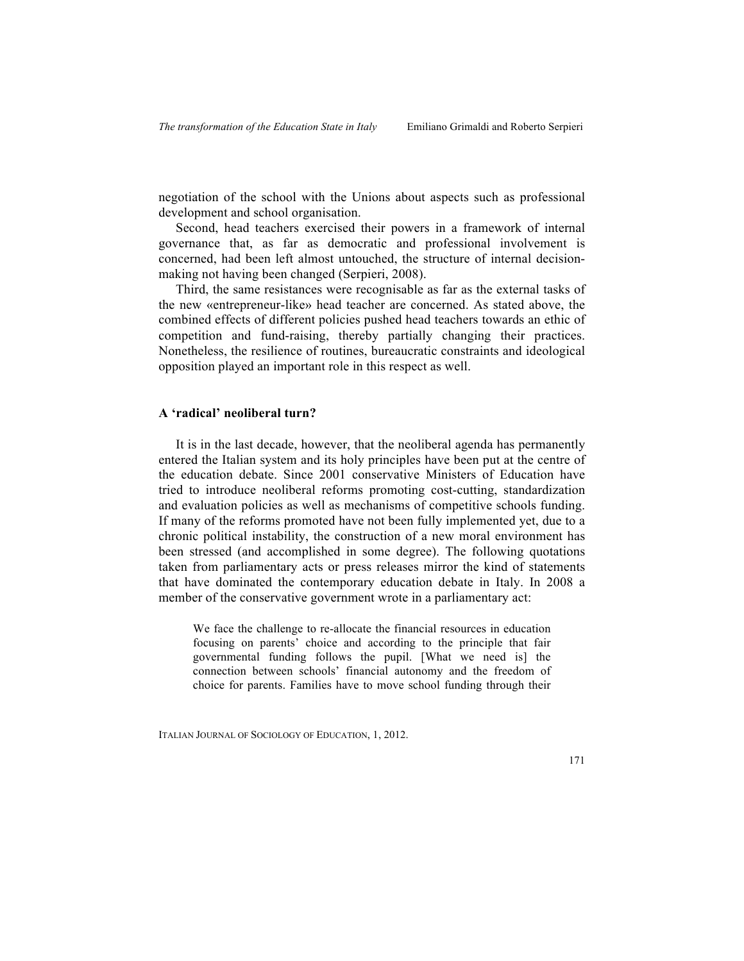negotiation of the school with the Unions about aspects such as professional development and school organisation.

Second, head teachers exercised their powers in a framework of internal governance that, as far as democratic and professional involvement is concerned, had been left almost untouched, the structure of internal decisionmaking not having been changed (Serpieri, 2008).

Third, the same resistances were recognisable as far as the external tasks of the new «entrepreneur-like» head teacher are concerned. As stated above, the combined effects of different policies pushed head teachers towards an ethic of competition and fund-raising, thereby partially changing their practices. Nonetheless, the resilience of routines, bureaucratic constraints and ideological opposition played an important role in this respect as well.

## **A 'radical' neoliberal turn?**

It is in the last decade, however, that the neoliberal agenda has permanently entered the Italian system and its holy principles have been put at the centre of the education debate. Since 2001 conservative Ministers of Education have tried to introduce neoliberal reforms promoting cost-cutting, standardization and evaluation policies as well as mechanisms of competitive schools funding. If many of the reforms promoted have not been fully implemented yet, due to a chronic political instability, the construction of a new moral environment has been stressed (and accomplished in some degree). The following quotations taken from parliamentary acts or press releases mirror the kind of statements that have dominated the contemporary education debate in Italy. In 2008 a member of the conservative government wrote in a parliamentary act:

We face the challenge to re-allocate the financial resources in education focusing on parents' choice and according to the principle that fair governmental funding follows the pupil. [What we need is] the connection between schools' financial autonomy and the freedom of choice for parents. Families have to move school funding through their

ITALIAN JOURNAL OF SOCIOLOGY OF EDUCATION, 1, 2012.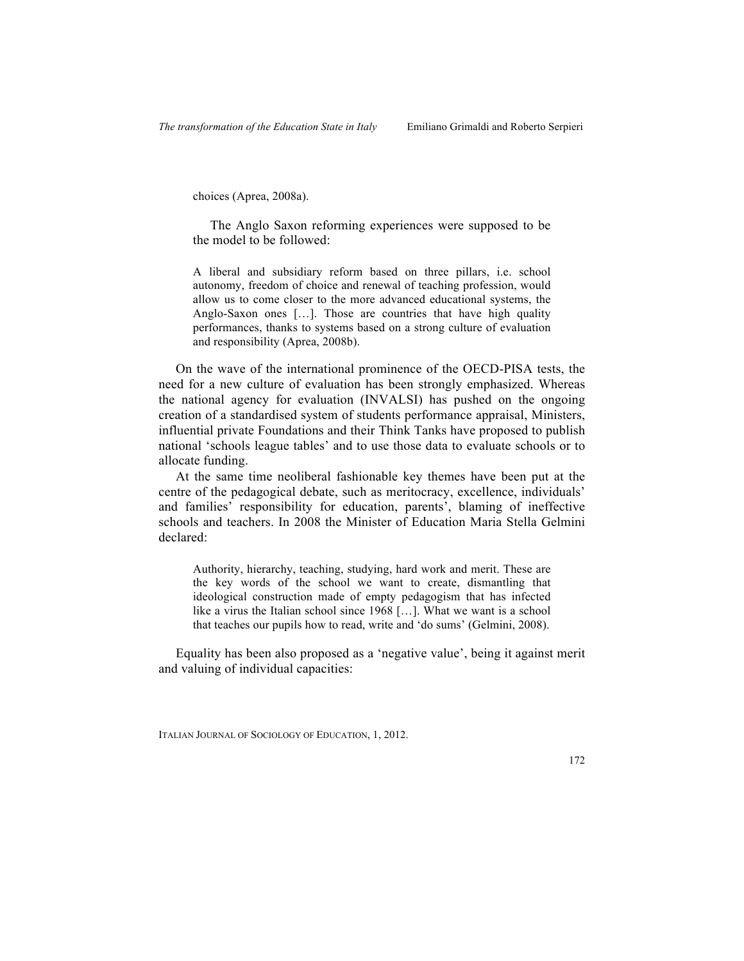choices (Aprea, 2008a).

The Anglo Saxon reforming experiences were supposed to be the model to be followed:

A liberal and subsidiary reform based on three pillars, i.e. school autonomy, freedom of choice and renewal of teaching profession, would allow us to come closer to the more advanced educational systems, the Anglo-Saxon ones […]. Those are countries that have high quality performances, thanks to systems based on a strong culture of evaluation and responsibility (Aprea, 2008b).

On the wave of the international prominence of the OECD-PISA tests, the need for a new culture of evaluation has been strongly emphasized. Whereas the national agency for evaluation (INVALSI) has pushed on the ongoing creation of a standardised system of students performance appraisal, Ministers, influential private Foundations and their Think Tanks have proposed to publish national 'schools league tables' and to use those data to evaluate schools or to allocate funding.

At the same time neoliberal fashionable key themes have been put at the centre of the pedagogical debate, such as meritocracy, excellence, individuals' and families' responsibility for education, parents', blaming of ineffective schools and teachers. In 2008 the Minister of Education Maria Stella Gelmini declared:

Authority, hierarchy, teaching, studying, hard work and merit. These are the key words of the school we want to create, dismantling that ideological construction made of empty pedagogism that has infected like a virus the Italian school since 1968 […]. What we want is a school that teaches our pupils how to read, write and 'do sums' (Gelmini, 2008).

Equality has been also proposed as a 'negative value', being it against merit and valuing of individual capacities:

ITALIAN JOURNAL OF SOCIOLOGY OF EDUCATION, 1, 2012.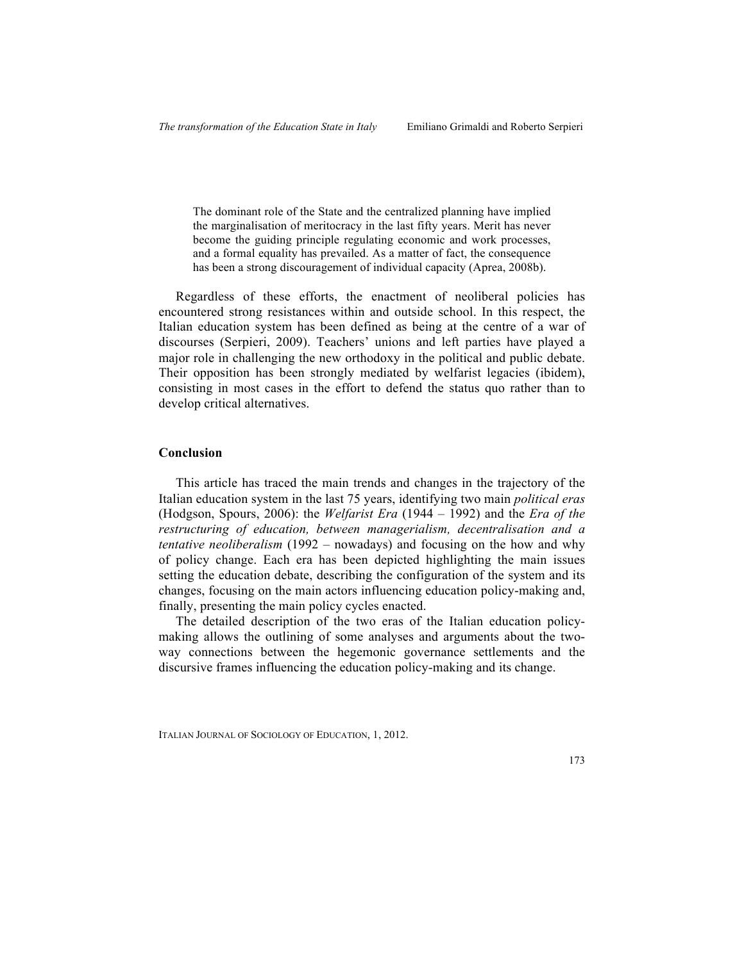The dominant role of the State and the centralized planning have implied the marginalisation of meritocracy in the last fifty years. Merit has never become the guiding principle regulating economic and work processes, and a formal equality has prevailed. As a matter of fact, the consequence has been a strong discouragement of individual capacity (Aprea, 2008b).

Regardless of these efforts, the enactment of neoliberal policies has encountered strong resistances within and outside school. In this respect, the Italian education system has been defined as being at the centre of a war of discourses (Serpieri, 2009). Teachers' unions and left parties have played a major role in challenging the new orthodoxy in the political and public debate. Their opposition has been strongly mediated by welfarist legacies (ibidem), consisting in most cases in the effort to defend the status quo rather than to develop critical alternatives.

## **Conclusion**

This article has traced the main trends and changes in the trajectory of the Italian education system in the last 75 years, identifying two main *political eras* (Hodgson, Spours, 2006): the *Welfarist Era* (1944 – 1992) and the *Era of the restructuring of education, between managerialism, decentralisation and a tentative neoliberalism* (1992 – nowadays) and focusing on the how and why of policy change. Each era has been depicted highlighting the main issues setting the education debate, describing the configuration of the system and its changes, focusing on the main actors influencing education policy-making and, finally, presenting the main policy cycles enacted.

The detailed description of the two eras of the Italian education policymaking allows the outlining of some analyses and arguments about the twoway connections between the hegemonic governance settlements and the discursive frames influencing the education policy-making and its change.

ITALIAN JOURNAL OF SOCIOLOGY OF EDUCATION, 1, 2012.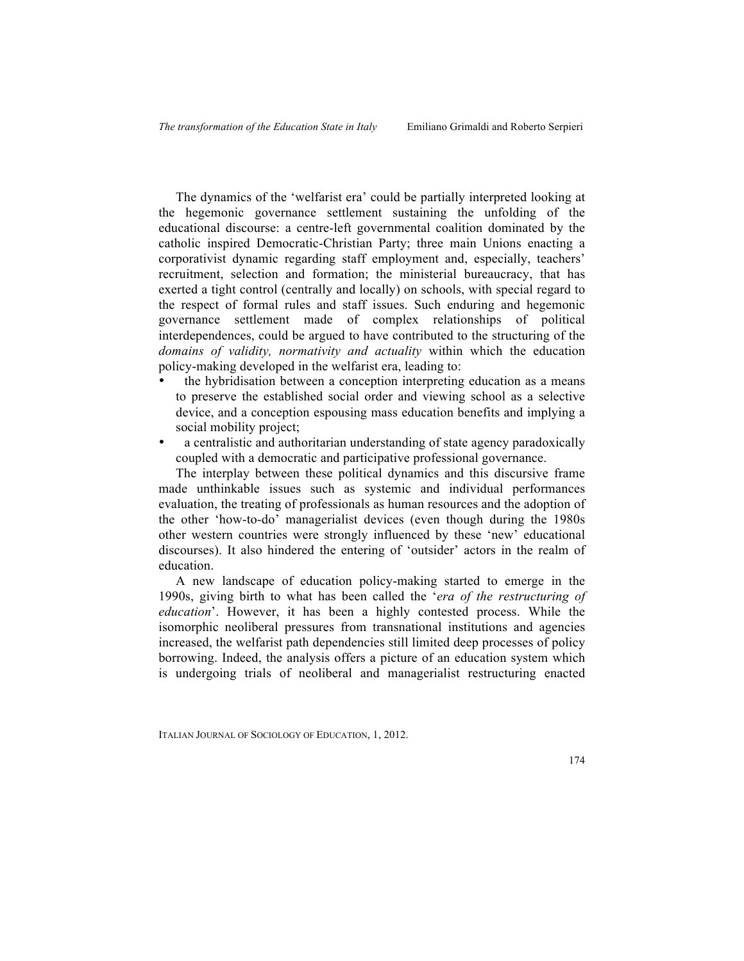The dynamics of the 'welfarist era' could be partially interpreted looking at the hegemonic governance settlement sustaining the unfolding of the educational discourse: a centre-left governmental coalition dominated by the catholic inspired Democratic-Christian Party; three main Unions enacting a corporativist dynamic regarding staff employment and, especially, teachers' recruitment, selection and formation; the ministerial bureaucracy, that has exerted a tight control (centrally and locally) on schools, with special regard to the respect of formal rules and staff issues. Such enduring and hegemonic governance settlement made of complex relationships of political interdependences, could be argued to have contributed to the structuring of the *domains of validity, normativity and actuality* within which the education policy-making developed in the welfarist era, leading to:

- the hybridisation between a conception interpreting education as a means to preserve the established social order and viewing school as a selective device, and a conception espousing mass education benefits and implying a social mobility project;
- a centralistic and authoritarian understanding of state agency paradoxically coupled with a democratic and participative professional governance.

The interplay between these political dynamics and this discursive frame made unthinkable issues such as systemic and individual performances evaluation, the treating of professionals as human resources and the adoption of the other 'how-to-do' managerialist devices (even though during the 1980s other western countries were strongly influenced by these 'new' educational discourses). It also hindered the entering of 'outsider' actors in the realm of education.

A new landscape of education policy-making started to emerge in the 1990s, giving birth to what has been called the '*era of the restructuring of education*'. However, it has been a highly contested process. While the isomorphic neoliberal pressures from transnational institutions and agencies increased, the welfarist path dependencies still limited deep processes of policy borrowing. Indeed, the analysis offers a picture of an education system which is undergoing trials of neoliberal and managerialist restructuring enacted

ITALIAN JOURNAL OF SOCIOLOGY OF EDUCATION, 1, 2012.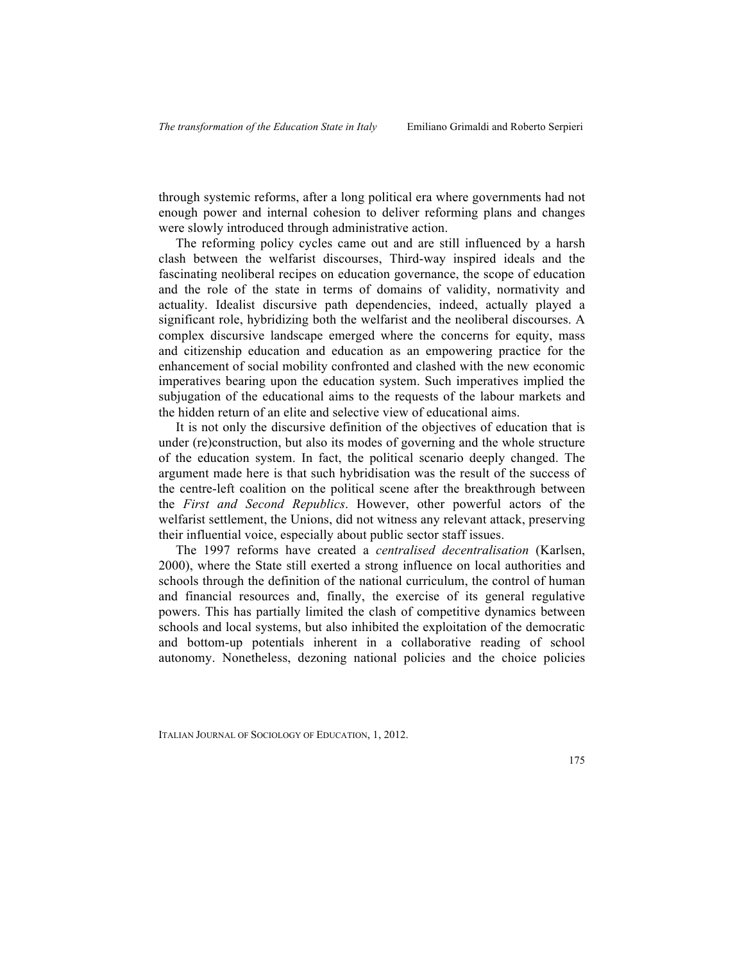through systemic reforms, after a long political era where governments had not enough power and internal cohesion to deliver reforming plans and changes were slowly introduced through administrative action.

The reforming policy cycles came out and are still influenced by a harsh clash between the welfarist discourses, Third-way inspired ideals and the fascinating neoliberal recipes on education governance, the scope of education and the role of the state in terms of domains of validity, normativity and actuality. Idealist discursive path dependencies, indeed, actually played a significant role, hybridizing both the welfarist and the neoliberal discourses. A complex discursive landscape emerged where the concerns for equity, mass and citizenship education and education as an empowering practice for the enhancement of social mobility confronted and clashed with the new economic imperatives bearing upon the education system. Such imperatives implied the subjugation of the educational aims to the requests of the labour markets and the hidden return of an elite and selective view of educational aims.

It is not only the discursive definition of the objectives of education that is under (re)construction, but also its modes of governing and the whole structure of the education system. In fact, the political scenario deeply changed. The argument made here is that such hybridisation was the result of the success of the centre-left coalition on the political scene after the breakthrough between the *First and Second Republics*. However, other powerful actors of the welfarist settlement, the Unions, did not witness any relevant attack, preserving their influential voice, especially about public sector staff issues.

The 1997 reforms have created a *centralised decentralisation* (Karlsen, 2000), where the State still exerted a strong influence on local authorities and schools through the definition of the national curriculum, the control of human and financial resources and, finally, the exercise of its general regulative powers. This has partially limited the clash of competitive dynamics between schools and local systems, but also inhibited the exploitation of the democratic and bottom-up potentials inherent in a collaborative reading of school autonomy. Nonetheless, dezoning national policies and the choice policies

ITALIAN JOURNAL OF SOCIOLOGY OF EDUCATION, 1, 2012.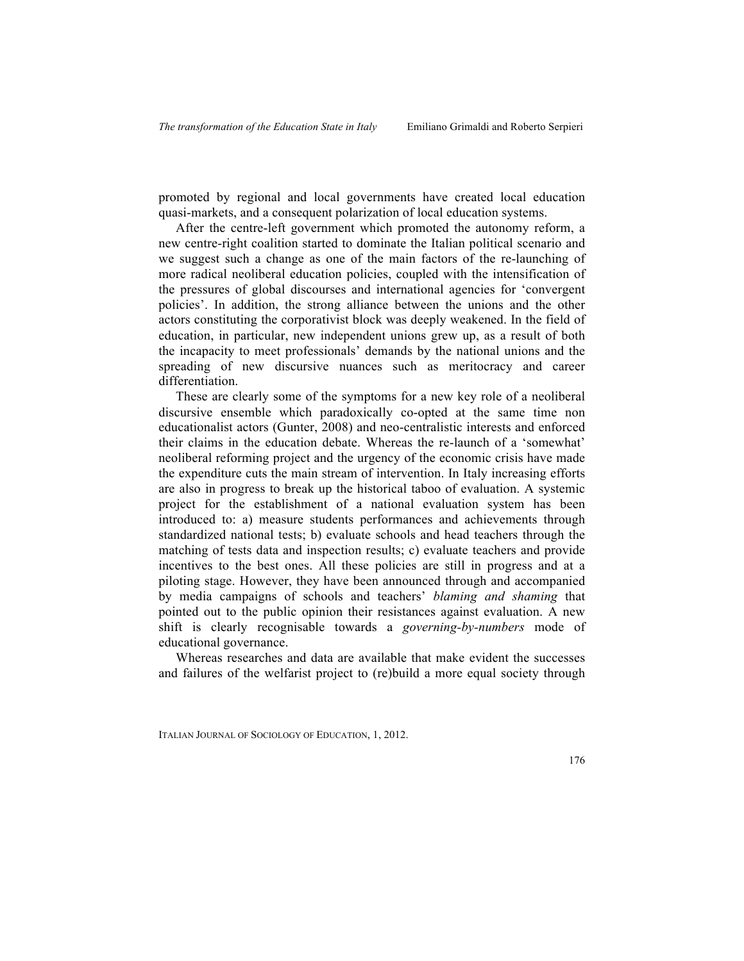promoted by regional and local governments have created local education quasi-markets, and a consequent polarization of local education systems.

After the centre-left government which promoted the autonomy reform, a new centre-right coalition started to dominate the Italian political scenario and we suggest such a change as one of the main factors of the re-launching of more radical neoliberal education policies, coupled with the intensification of the pressures of global discourses and international agencies for 'convergent policies'. In addition, the strong alliance between the unions and the other actors constituting the corporativist block was deeply weakened. In the field of education, in particular, new independent unions grew up, as a result of both the incapacity to meet professionals' demands by the national unions and the spreading of new discursive nuances such as meritocracy and career differentiation.

These are clearly some of the symptoms for a new key role of a neoliberal discursive ensemble which paradoxically co-opted at the same time non educationalist actors (Gunter, 2008) and neo-centralistic interests and enforced their claims in the education debate. Whereas the re-launch of a 'somewhat' neoliberal reforming project and the urgency of the economic crisis have made the expenditure cuts the main stream of intervention. In Italy increasing efforts are also in progress to break up the historical taboo of evaluation. A systemic project for the establishment of a national evaluation system has been introduced to: a) measure students performances and achievements through standardized national tests; b) evaluate schools and head teachers through the matching of tests data and inspection results; c) evaluate teachers and provide incentives to the best ones. All these policies are still in progress and at a piloting stage. However, they have been announced through and accompanied by media campaigns of schools and teachers' *blaming and shaming* that pointed out to the public opinion their resistances against evaluation. A new shift is clearly recognisable towards a *governing-by-numbers* mode of educational governance.

Whereas researches and data are available that make evident the successes and failures of the welfarist project to (re)build a more equal society through

ITALIAN JOURNAL OF SOCIOLOGY OF EDUCATION, 1, 2012.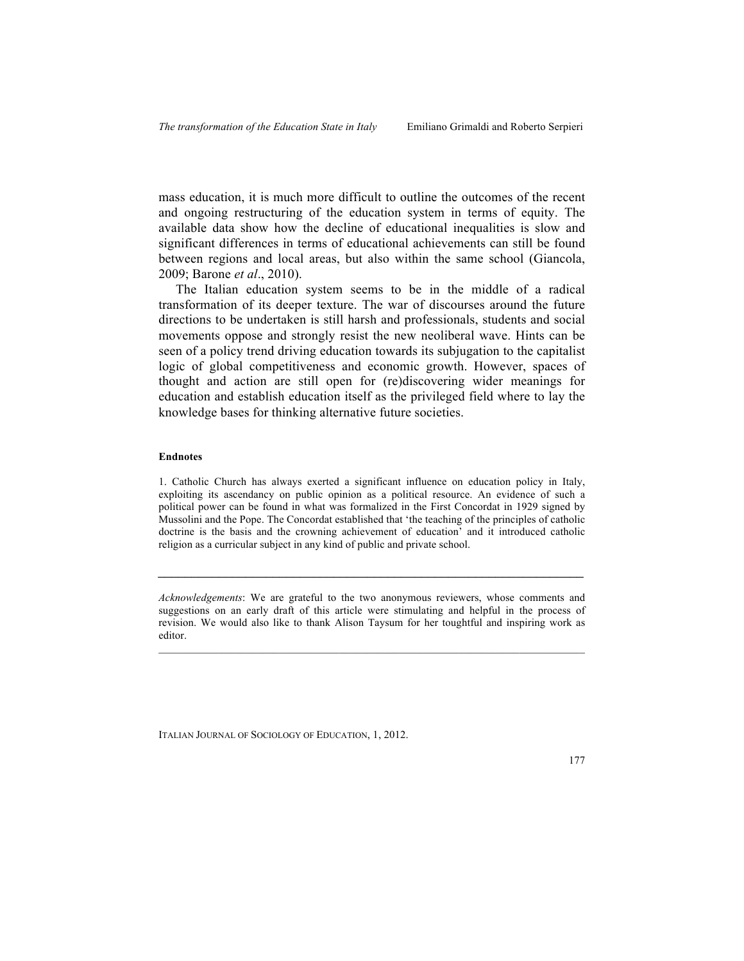mass education, it is much more difficult to outline the outcomes of the recent and ongoing restructuring of the education system in terms of equity. The available data show how the decline of educational inequalities is slow and significant differences in terms of educational achievements can still be found between regions and local areas, but also within the same school (Giancola, 2009; Barone *et al*., 2010).

The Italian education system seems to be in the middle of a radical transformation of its deeper texture. The war of discourses around the future directions to be undertaken is still harsh and professionals, students and social movements oppose and strongly resist the new neoliberal wave. Hints can be seen of a policy trend driving education towards its subjugation to the capitalist logic of global competitiveness and economic growth. However, spaces of thought and action are still open for (re)discovering wider meanings for education and establish education itself as the privileged field where to lay the knowledge bases for thinking alternative future societies.

#### **Endnotes**

1. Catholic Church has always exerted a significant influence on education policy in Italy, exploiting its ascendancy on public opinion as a political resource. An evidence of such a political power can be found in what was formalized in the First Concordat in 1929 signed by Mussolini and the Pope. The Concordat established that 'the teaching of the principles of catholic doctrine is the basis and the crowning achievement of education' and it introduced catholic religion as a curricular subject in any kind of public and private school.

*Acknowledgements*: We are grateful to the two anonymous reviewers, whose comments and suggestions on an early draft of this article were stimulating and helpful in the process of revision. We would also like to thank Alison Taysum for her toughtful and inspiring work as editor.

*\_\_\_\_\_\_\_\_\_\_\_\_\_\_\_\_\_\_\_\_\_\_\_\_\_\_\_\_\_\_\_\_\_\_\_\_\_\_\_\_\_\_\_\_\_\_\_\_\_\_\_\_\_\_\_\_\_\_\_\_\_\_\_*

ITALIAN JOURNAL OF SOCIOLOGY OF EDUCATION, 1, 2012.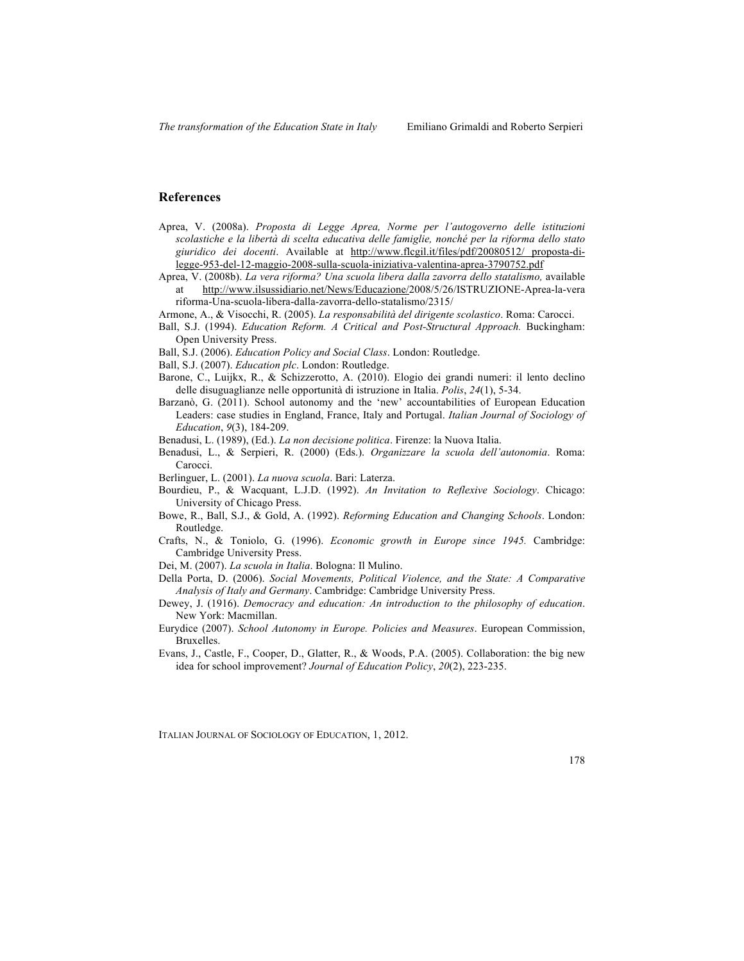## **References**

- Aprea, V. (2008a). *Proposta di Legge Aprea, Norme per l'autogoverno delle istituzioni scolastiche e la libertà di scelta educativa delle famiglie, nonché per la riforma dello stato giuridico dei docenti*. Available at http://www.flcgil.it/files/pdf/20080512/ proposta-dilegge-953-del-12-maggio-2008-sulla-scuola-iniziativa-valentina-aprea-3790752.pdf
- Aprea, V. (2008b). *La vera riforma? Una scuola libera dalla zavorra dello statalismo,* available at http://www.ilsussidiario.net/News/Educazione/2008/5/26/ISTRUZIONE-Aprea-la-vera riforma-Una-scuola-libera-dalla-zavorra-dello-statalismo/2315/

Armone, A., & Visocchi, R. (2005). *La responsabilità del dirigente scolastico*. Roma: Carocci.

- Ball, S.J. (1994). *Education Reform. A Critical and Post-Structural Approach.* Buckingham: Open University Press.
- Ball, S.J. (2006). *Education Policy and Social Class*. London: Routledge.
- Ball, S.J. (2007). *Education plc*. London: Routledge.
- Barone, C., Luijkx, R., & Schizzerotto, A. (2010). Elogio dei grandi numeri: il lento declino delle disuguaglianze nelle opportunità di istruzione in Italia. *Polis*, *24*(1), 5-34.
- Barzanò, G. (2011). School autonomy and the 'new' accountabilities of European Education Leaders: case studies in England, France, Italy and Portugal. *Italian Journal of Sociology of Education*, *9*(3), 184-209.
- Benadusi, L. (1989), (Ed.). *La non decisione politica*. Firenze: la Nuova Italia.
- Benadusi, L., & Serpieri, R. (2000) (Eds.). *Organizzare la scuola dell'autonomia*. Roma: Carocci.

Berlinguer, L. (2001). *La nuova scuola*. Bari: Laterza.

- Bourdieu, P., & Wacquant, L.J.D. (1992). *An Invitation to Reflexive Sociology*. Chicago: University of Chicago Press.
- Bowe, R., Ball, S.J., & Gold, A. (1992). *Reforming Education and Changing Schools*. London: Routledge.
- Crafts, N., & Toniolo, G. (1996). *Economic growth in Europe since 1945.* Cambridge: Cambridge University Press.
- Dei, M. (2007). *La scuola in Italia*. Bologna: Il Mulino.
- Della Porta, D. (2006). *Social Movements, Political Violence, and the State: A Comparative Analysis of Italy and Germany*. Cambridge: Cambridge University Press.
- Dewey, J. (1916). *Democracy and education: An introduction to the philosophy of education*. New York: Macmillan.
- Eurydice (2007). *School Autonomy in Europe. Policies and Measures*. European Commission, Bruxelles.
- Evans, J., Castle, F., Cooper, D., Glatter, R., & Woods, P.A. (2005). Collaboration: the big new idea for school improvement? *Journal of Education Policy*, *20*(2), 223-235.

ITALIAN JOURNAL OF SOCIOLOGY OF EDUCATION, 1, 2012.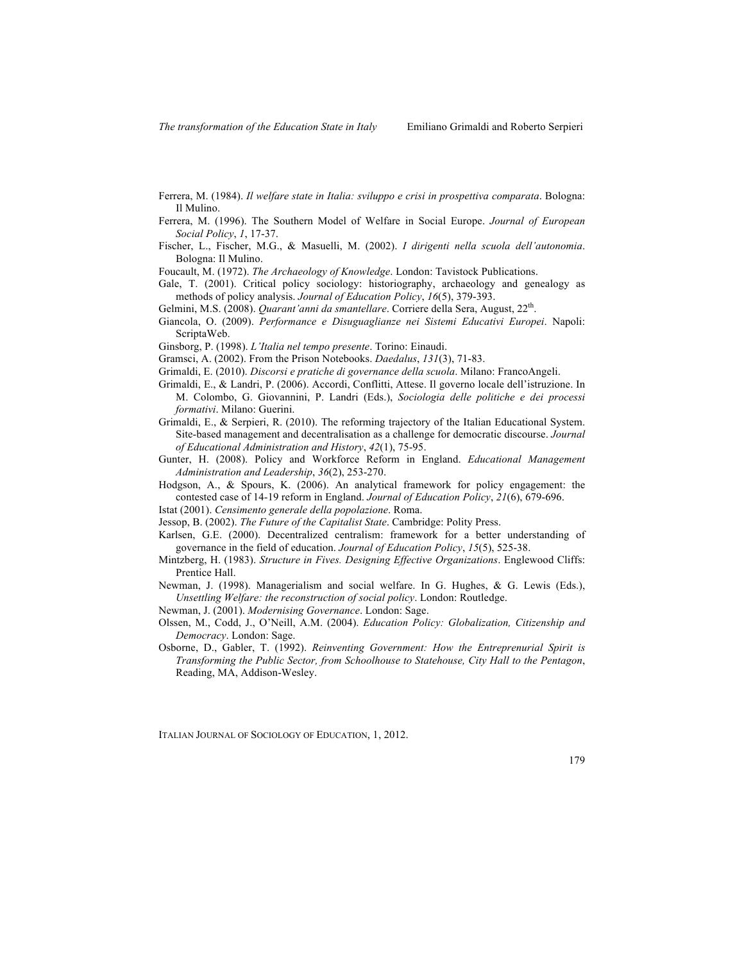- Ferrera, M. (1984). *Il welfare state in Italia: sviluppo e crisi in prospettiva comparata*. Bologna: Il Mulino.
- Ferrera, M. (1996). The Southern Model of Welfare in Social Europe. *Journal of European Social Policy*, *1*, 17-37.
- Fischer, L., Fischer, M.G., & Masuelli, M. (2002). *I dirigenti nella scuola dell'autonomia*. Bologna: Il Mulino.
- Foucault, M. (1972). *The Archaeology of Knowledge*. London: Tavistock Publications.
- Gale, T. (2001). Critical policy sociology: historiography, archaeology and genealogy as methods of policy analysis. *Journal of Education Policy*, *16*(5), 379-393.
- Gelmini, M.S. (2008). *Quarant'anni da smantellare*. Corriere della Sera, August, 22<sup>th</sup>.
- Giancola, O. (2009). *Performance e Disuguaglianze nei Sistemi Educativi Europei*. Napoli: ScriptaWeb.
- Ginsborg, P. (1998). *L'Italia nel tempo presente*. Torino: Einaudi.
- Gramsci, A. (2002). From the Prison Notebooks. *Daedalus*, *131*(3), 71-83.
- Grimaldi, E. (2010). *Discorsi e pratiche di governance della scuola*. Milano: FrancoAngeli.
- Grimaldi, E., & Landri, P. (2006). Accordi, Conflitti, Attese. Il governo locale dell'istruzione. In M. Colombo, G. Giovannini, P. Landri (Eds.), *Sociologia delle politiche e dei processi formativi*. Milano: Guerini.
- Grimaldi, E., & Serpieri, R. (2010). The reforming trajectory of the Italian Educational System. Site-based management and decentralisation as a challenge for democratic discourse. *Journal of Educational Administration and History*, *42*(1), 75-95.
- Gunter, H. (2008). Policy and Workforce Reform in England. *Educational Management Administration and Leadership*, *36*(2), 253-270.
- Hodgson, A., & Spours, K. (2006). An analytical framework for policy engagement: the contested case of 14-19 reform in England. *Journal of Education Policy*, *21*(6), 679-696.
- Istat (2001). *Censimento generale della popolazione*. Roma.
- Jessop, B. (2002). *The Future of the Capitalist State*. Cambridge: Polity Press.
- Karlsen, G.E. (2000). Decentralized centralism: framework for a better understanding of governance in the field of education. *Journal of Education Policy*, *15*(5), 525-38.
- Mintzberg, H. (1983). *Structure in Fives. Designing Effective Organizations*. Englewood Cliffs: Prentice Hall.
- Newman, J. (1998). Managerialism and social welfare. In G. Hughes, & G. Lewis (Eds.), *Unsettling Welfare: the reconstruction of social policy*. London: Routledge.
- Newman, J. (2001). *Modernising Governance*. London: Sage.
- Olssen, M., Codd, J., O'Neill, A.M. (2004). *Education Policy: Globalization, Citizenship and Democracy*. London: Sage.
- Osborne, D., Gabler, T. (1992). *Reinventing Government: How the Entreprenurial Spirit is Transforming the Public Sector, from Schoolhouse to Statehouse, City Hall to the Pentagon*, Reading, MA, Addison-Wesley.

ITALIAN JOURNAL OF SOCIOLOGY OF EDUCATION, 1, 2012.